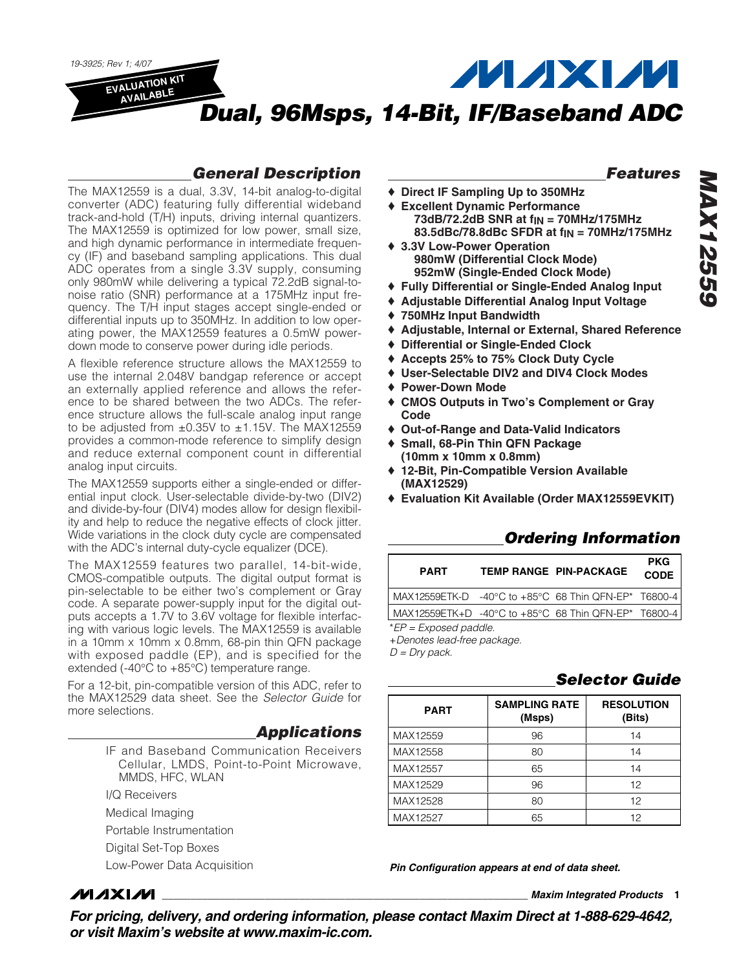

### *General Description*

The MAX12559 is a dual, 3.3V, 14-bit analog-to-digital converter (ADC) featuring fully differential wideband track-and-hold (T/H) inputs, driving internal quantizers. The MAX12559 is optimized for low power, small size, and high dynamic performance in intermediate frequency (IF) and baseband sampling applications. This dual ADC operates from a single 3.3V supply, consuming only 980mW while delivering a typical 72.2dB signal-tonoise ratio (SNR) performance at a 175MHz input frequency. The T/H input stages accept single-ended or differential inputs up to 350MHz. In addition to low operating power, the MAX12559 features a 0.5mW powerdown mode to conserve power during idle periods.

A flexible reference structure allows the MAX12559 to use the internal 2.048V bandgap reference or accept an externally applied reference and allows the reference to be shared between the two ADCs. The reference structure allows the full-scale analog input range to be adjusted from  $\pm 0.35V$  to  $\pm 1.15V$ . The MAX12559 provides a common-mode reference to simplify design and reduce external component count in differential analog input circuits.

The MAX12559 supports either a single-ended or differential input clock. User-selectable divide-by-two (DIV2) and divide-by-four (DIV4) modes allow for design flexibility and help to reduce the negative effects of clock jitter. Wide variations in the clock duty cycle are compensated with the ADC's internal duty-cycle equalizer (DCE).

The MAX12559 features two parallel, 14-bit-wide, CMOS-compatible outputs. The digital output format is pin-selectable to be either two's complement or Gray code. A separate power-supply input for the digital outputs accepts a 1.7V to 3.6V voltage for flexible interfacing with various logic levels. The MAX12559 is available in a 10mm x 10mm x 0.8mm, 68-pin thin QFN package with exposed paddle (EP), and is specified for the extended (-40°C to +85°C) temperature range.

For a 12-bit, pin-compatible version of this ADC, refer to the MAX12529 data sheet. See the *Selector Guide* for more selections.

### *Applications*

- IF and Baseband Communication Receivers Cellular, LMDS, Point-to-Point Microwave, MMDS, HFC, WLAN
- I/Q Receivers
- Medical Imaging
- Portable Instrumentation
- Digital Set-Top Boxes
- Low-Power Data Acquisition

### *Features*

*MAX12559*

**MAX12559** 

- ♦ **Direct IF Sampling Up to 350MHz**
- ♦ **Excellent Dynamic Performance 73dB/72.2dB SNR at fIN = 70MHz/175MHz 83.5dBc/78.8dBc SFDR at fIN = 70MHz/175MHz**
- ♦ **3.3V Low-Power Operation 980mW (Differential Clock Mode) 952mW (Single-Ended Clock Mode)**
- ♦ **Fully Differential or Single-Ended Analog Input**
- ♦ **Adjustable Differential Analog Input Voltage**
- ♦ **750MHz Input Bandwidth**
- ♦ **Adjustable, Internal or External, Shared Reference**
- ♦ **Differential or Single-Ended Clock**
- ♦ **Accepts 25% to 75% Clock Duty Cycle**
- ♦ **User-Selectable DIV2 and DIV4 Clock Modes**
- ♦ **Power-Down Mode**
- ♦ **CMOS Outputs in Two's Complement or Gray Code**
- ♦ **Out-of-Range and Data-Valid Indicators**
- ♦ **Small, 68-Pin Thin QFN Package (10mm x 10mm x 0.8mm)**
- ♦ **12-Bit, Pin-Compatible Version Available (MAX12529)**
- ♦ **Evaluation Kit Available (Order MAX12559EVKIT)**

### *Ordering Information*

| <b>PART</b>                                          | <b>TEMP RANGE PIN-PACKAGE</b> | <b>PKG</b><br><b>CODE</b> |
|------------------------------------------------------|-------------------------------|---------------------------|
|                                                      |                               |                           |
| MAX12559ETK+D -40°C to +85°C 68 Thin QFN-EP* T6800-4 |                               |                           |
| $E^*FP = Exposed$ paddle.                            |                               |                           |

+*Denotes lead-free package.*

*D = Dry pack.*

### *Selector Guide*

| <b>PART</b> | <b>SAMPLING RATE</b><br>(Msps) | <b>RESOLUTION</b><br>(Bits) |
|-------------|--------------------------------|-----------------------------|
| MAX12559    | 96                             | 14                          |
| MAX12558    | 80                             | 14                          |
| MAX12557    | 65                             | 14                          |
| MAX12529    | 96                             | 12                          |
| MAX12528    | 80                             | 12                          |
| MAX12527    | 65                             | 12                          |

*Pin Configuration appears at end of data sheet.*

**MAXM** 

**\_\_\_\_\_\_\_\_\_\_\_\_\_\_\_\_\_\_\_\_\_\_\_\_\_\_\_\_\_\_\_\_\_\_\_\_\_\_\_\_\_\_\_\_\_\_\_\_\_\_\_\_\_\_\_\_\_\_\_\_\_\_\_\_** *Maxim Integrated Products* **1**

*For pricing, delivery, and ordering information, please contact Maxim Direct at 1-888-629-4642, or visit Maxim's website at www.maxim-ic.com.*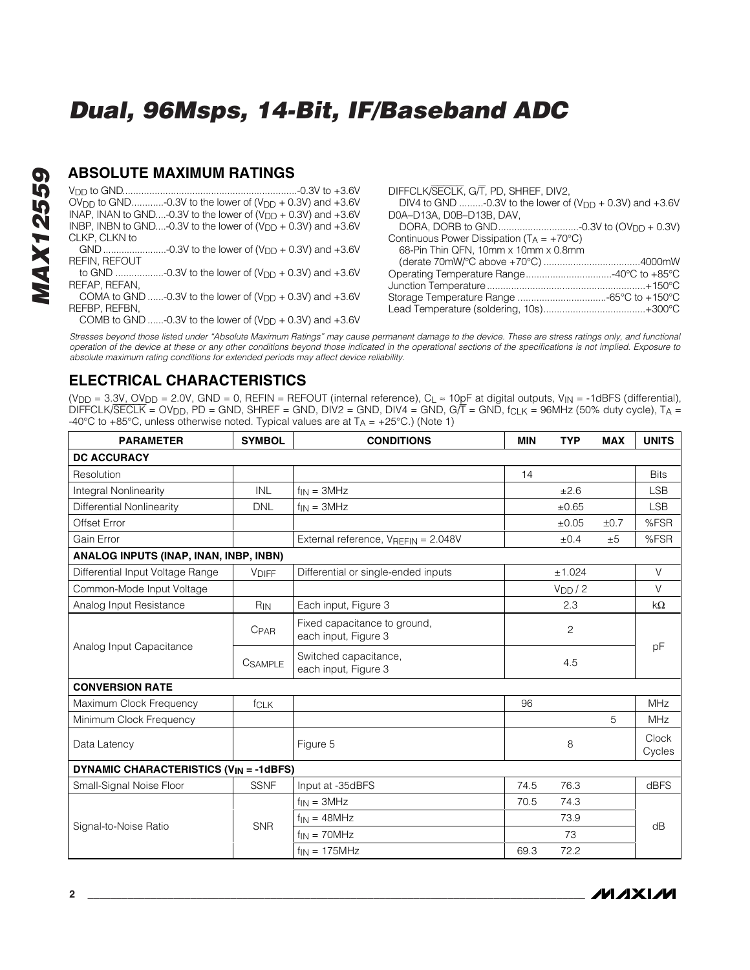# *MAX12559* **MAX12559**

#### **ABSOLUTE MAXIMUM RATINGS**

VDD to GND.................................................................-0.3V to +3.6V  $\overline{O}V_{\text{DD}}$  to GND.............-0.3V to the lower of  $(V_{\text{DD}} + 0.3V)$  and  $+3.6V$ INAP, INAN to GND....-0.3V to the lower of  $(V_{DD} + 0.3V)$  and  $+3.6V$ INBP, INBN to GND....-0.3V to the lower of  $(V_{DD} + 0.3V)$  and  $+3.6V$ CLKP, CLKN to

GND........................-0.3V to the lower of  $(V_{DD} + 0.3V)$  and  $+3.6V$ REFIN, REFOUT

to GND ..................-0.3V to the lower of (VDD + 0.3V) and +3.6V REFAP, REFAN,

COMA to GND ......-0.3V to the lower of  $(V_{DD} + 0.3V)$  and  $+3.6V$ REFBP, REFBN,

COMB to GND ......-0.3V to the lower of  $(V_{DD} + 0.3V)$  and  $+3.6V$ 

DIFFCLK/SECLK, G/T, PD, SHREF, DIV2, DIV4 to GND ........-0.3V to the lower of  $(V_{DD} + 0.3V)$  and  $+3.6V$ D0A–D13A, D0B–D13B, DAV, DORA, DORB to GND..............................-0.3V to (OVDD + 0.3V) Continuous Power Dissipation ( $T_A = +70^{\circ}C$ ) 68-Pin Thin QFN, 10mm x 10mm x 0.8mm (derate 70mW/°C above +70°C) ....................................4000mW Operating Temperature Range................................-40°C to +85°C Junction Temperature...........................................................+150°C Storage Temperature Range .................................-65°C to +150°C Lead Temperature (soldering, 10s)......................................+300°C

*Stresses beyond those listed under "Absolute Maximum Ratings" may cause permanent damage to the device. These are stress ratings only, and functional operation of the device at these or any other conditions beyond those indicated in the operational sections of the specifications is not implied. Exposure to absolute maximum rating conditions for extended periods may affect device reliability.*

### **ELECTRICAL CHARACTERISTICS**

| <b>PARAMETER</b>                                         | <b>SYMBOL</b>  | <b>CONDITIONS</b>                                    | <b>MIN</b> | <b>TYP</b>         | <b>MAX</b> | <b>UNITS</b>    |
|----------------------------------------------------------|----------------|------------------------------------------------------|------------|--------------------|------------|-----------------|
| <b>DC ACCURACY</b>                                       |                |                                                      |            |                    |            |                 |
| Resolution                                               |                |                                                      | 14         |                    |            | <b>Bits</b>     |
| Integral Nonlinearity                                    | <b>INL</b>     | $f_{IN} = 3MHz$                                      |            | ±2.6               |            | <b>LSB</b>      |
| Differential Nonlinearity                                | <b>DNL</b>     | $f_{IN} = 3MHz$                                      |            | ±0.65              |            | <b>LSB</b>      |
| Offset Error                                             |                |                                                      |            | ±0.05              | ±0.7       | %FSR            |
| Gain Error                                               |                | External reference, VREFIN = 2.048V                  |            | ±0.4               | ±5         | %FSR            |
| ANALOG INPUTS (INAP, INAN, INBP, INBN)                   |                |                                                      |            |                    |            |                 |
| Differential Input Voltage Range                         | <b>VDIFF</b>   | Differential or single-ended inputs                  |            | ±1.024             |            | $\vee$          |
| Common-Mode Input Voltage                                |                |                                                      |            | V <sub>DD</sub> /2 |            | V               |
| Analog Input Resistance                                  | $R_{IN}$       | Each input, Figure 3                                 |            | 2.3                |            | kΩ              |
|                                                          | <b>CPAR</b>    | Fixed capacitance to ground,<br>each input, Figure 3 |            | $\overline{c}$     |            |                 |
| Analog Input Capacitance                                 | <b>CSAMPLE</b> | Switched capacitance,<br>each input, Figure 3        |            | 4.5                |            | pF              |
| <b>CONVERSION RATE</b>                                   |                |                                                      |            |                    |            |                 |
| Maximum Clock Frequency                                  | fcLK           |                                                      | 96         |                    |            | <b>MHz</b>      |
| Minimum Clock Frequency                                  |                |                                                      |            |                    | 5          | <b>MHz</b>      |
| Data Latency                                             |                | Figure 5                                             |            | 8                  |            | Clock<br>Cycles |
| <b>DYNAMIC CHARACTERISTICS (V<sub>IN</sub> = -1dBFS)</b> |                |                                                      |            |                    |            |                 |
| Small-Signal Noise Floor                                 | <b>SSNF</b>    | Input at -35dBFS                                     | 74.5       | 76.3               |            | dBFS            |
|                                                          |                | $f_{IN} = 3MHz$                                      | 70.5       | 74.3               |            |                 |
|                                                          | <b>SNR</b>     | $f_{IN} = 48MHz$                                     |            | 73.9               |            |                 |
| Signal-to-Noise Ratio                                    |                | $f_{IN} = 70MHz$                                     |            | 73                 |            | dB              |
|                                                          |                | $f_{IN} = 175 MHz$                                   | 69.3       | 72.2               |            |                 |

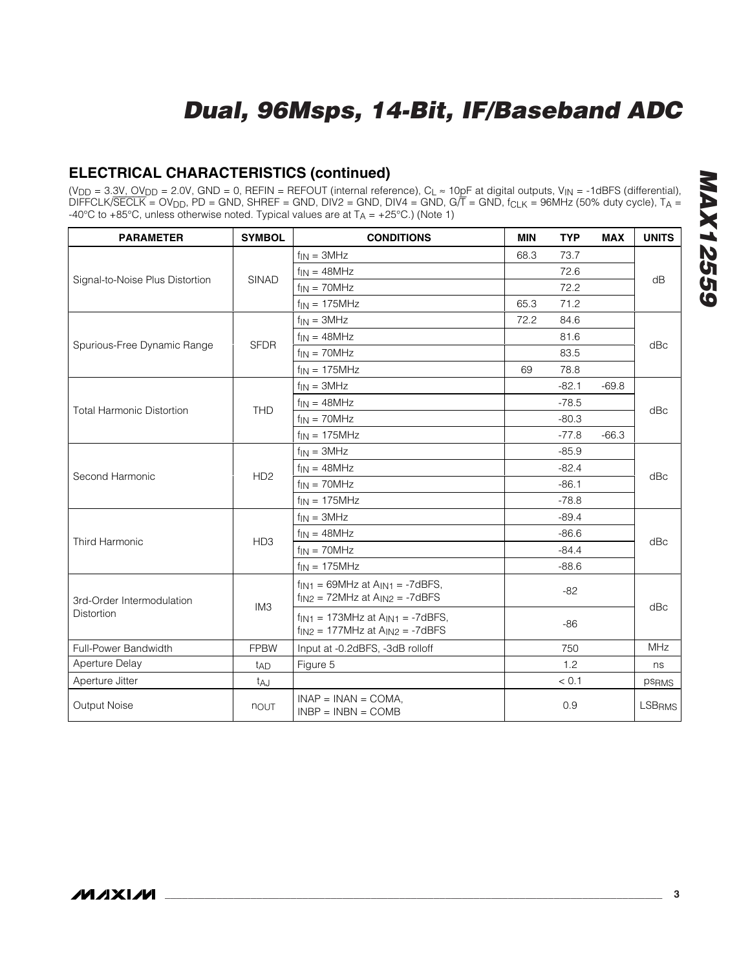### **ELECTRICAL CHARACTERISTICS (continued)**

| <b>PARAMETER</b>                 | <b>SYMBOL</b>   | <b>CONDITIONS</b>                                                                                 | <b>MIN</b> | <b>TYP</b> | <b>MAX</b> | <b>UNITS</b>  |  |
|----------------------------------|-----------------|---------------------------------------------------------------------------------------------------|------------|------------|------------|---------------|--|
|                                  |                 | $f_{IN} = 3MHz$                                                                                   | 68.3       | 73.7       |            |               |  |
|                                  |                 | $f_{IN} = 48MHz$                                                                                  |            | 72.6       |            |               |  |
| Signal-to-Noise Plus Distortion  | <b>SINAD</b>    | $f_{IN} = 70MHz$                                                                                  |            | 72.2       |            | dB            |  |
|                                  |                 | $f_{IN}$ = 175MHz                                                                                 | 65.3       | 71.2       |            |               |  |
|                                  |                 | $f_{IN} = 3MHz$                                                                                   | 72.2       | 84.6       |            |               |  |
| Spurious-Free Dynamic Range      | <b>SFDR</b>     | $f_{IN} = 48MHz$                                                                                  |            | 81.6       |            | dBc           |  |
|                                  |                 | $f_{IN} = 70MHz$                                                                                  |            | 83.5       |            |               |  |
|                                  |                 | $f_{IN}$ = 175MHz                                                                                 | 69         | 78.8       |            |               |  |
|                                  |                 | $f_{IN} = 3MHz$                                                                                   |            | $-82.1$    | $-69.8$    |               |  |
| <b>Total Harmonic Distortion</b> | <b>THD</b>      | $f_{IN} = 48MHz$                                                                                  |            | $-78.5$    |            |               |  |
|                                  |                 | $f_{IN} = 70MHz$                                                                                  |            | $-80.3$    |            | dBc           |  |
|                                  |                 | $f_{IN} = 175 MHz$                                                                                |            | $-77.8$    | $-66.3$    |               |  |
|                                  | H <sub>D2</sub> | $f_{IN} = 3MHz$                                                                                   |            | $-85.9$    |            | dBc           |  |
|                                  |                 | $f_{IN} = 48MHz$                                                                                  |            | $-82.4$    |            |               |  |
| Second Harmonic                  |                 | $f_{IN} = 70MHz$                                                                                  |            | $-86.1$    |            |               |  |
|                                  |                 | $f_{IN} = 175MHz$                                                                                 |            | $-78.8$    |            |               |  |
|                                  |                 | $f_{IN} = 3MHz$                                                                                   |            | $-89.4$    |            | dBc           |  |
| Third Harmonic                   | HD <sub>3</sub> | $f_{IN} = 48MHz$                                                                                  |            | $-86.6$    |            |               |  |
|                                  |                 | $f_{IN} = 70MHz$                                                                                  |            | $-84.4$    |            |               |  |
|                                  |                 | $f_{IN}$ = 175MHz                                                                                 |            | $-88.6$    |            |               |  |
| 3rd-Order Intermodulation        | IM <sub>3</sub> | $f_{\text{IN1}}$ = 69MHz at $A_{\text{IN1}}$ = -7dBFS,<br>$f_{IN2}$ = 72MHz at $A_{IN2}$ = -7dBFS |            | $-82$      |            |               |  |
| Distortion                       |                 | $f_{IN1}$ = 173MHz at $A_{IN1}$ = -7dBFS,<br>$f_{1N2} = 177$ MHz at $A_{1N2} = -7$ dBFS           |            | $-86$      |            | dBc           |  |
| Full-Power Bandwidth             | <b>FPBW</b>     | Input at -0.2dBFS, -3dB rolloff                                                                   |            | 750        |            | <b>MHz</b>    |  |
| Aperture Delay                   | t <sub>AD</sub> | Figure 5                                                                                          |            | 1.2        |            | ns            |  |
| Aperture Jitter                  | taj             |                                                                                                   |            | < 0.1      |            | <b>PSRMS</b>  |  |
| Output Noise                     | nout            | $INAP = INAN = COMA$ .<br>$INBP = INBN = COMB$                                                    |            | 0.9        |            | <b>LSBRMS</b> |  |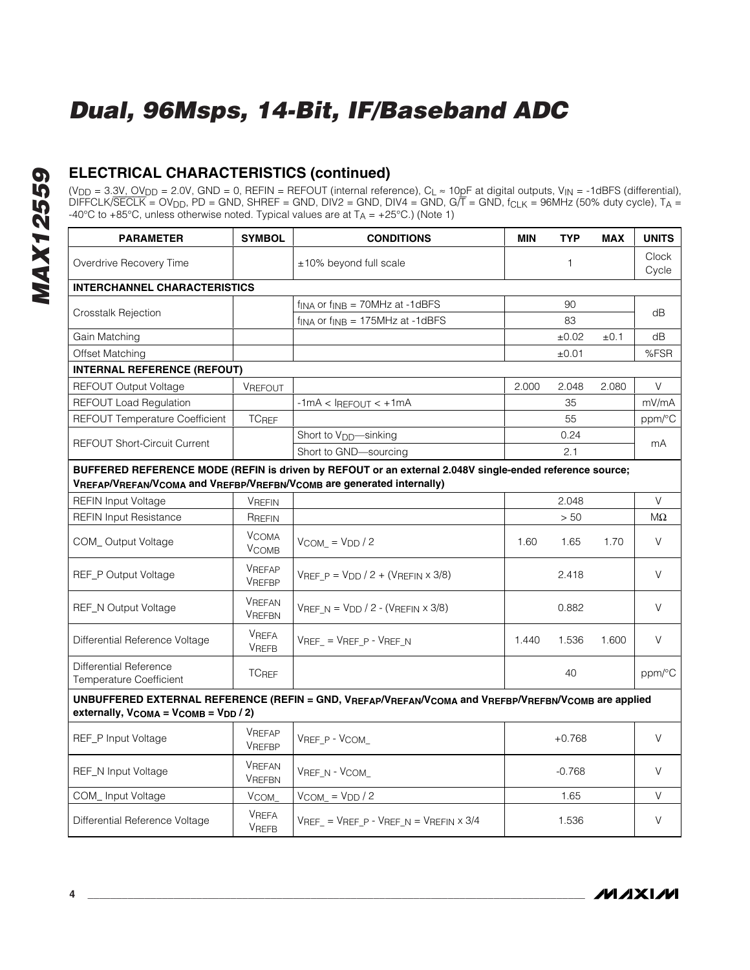# *MAX12559* **MAX12559**

### **ELECTRICAL CHARACTERISTICS (continued)**

| <b>PARAMETER</b>                                                                                                                                                                 | <b>SYMBOL</b>                  | <b>CONDITIONS</b>                                                | <b>MIN</b> | <b>TYP</b> | <b>MAX</b> | <b>UNITS</b>   |
|----------------------------------------------------------------------------------------------------------------------------------------------------------------------------------|--------------------------------|------------------------------------------------------------------|------------|------------|------------|----------------|
| Overdrive Recovery Time                                                                                                                                                          |                                | ±10% beyond full scale                                           |            | 1          |            | Clock<br>Cycle |
| <b>INTERCHANNEL CHARACTERISTICS</b>                                                                                                                                              |                                |                                                                  |            |            |            |                |
|                                                                                                                                                                                  |                                | $f_{\text{INA}}$ or $f_{\text{INB}} = 70$ MHz at -1dBFS          |            | 90         |            | dB             |
| Crosstalk Rejection                                                                                                                                                              |                                | $f_{\text{INA}}$ or $f_{\text{INB}} = 175 \text{MHz}$ at -1dBFS  |            | 83         |            |                |
| Gain Matching                                                                                                                                                                    |                                |                                                                  |            | ±0.02      | $\pm 0.1$  | dВ             |
| Offset Matching                                                                                                                                                                  |                                |                                                                  |            | ±0.01      |            | %FSR           |
| <b>INTERNAL REFERENCE (REFOUT)</b>                                                                                                                                               |                                |                                                                  |            |            |            |                |
| <b>REFOUT Output Voltage</b>                                                                                                                                                     | VREFOUT                        |                                                                  | 2.000      | 2.048      | 2.080      | V              |
| <b>REFOUT Load Regulation</b>                                                                                                                                                    |                                | $-1mA < I$ REFOUT $< +1mA$                                       |            | 35         |            | mV/mA          |
| REFOUT Temperature Coefficient                                                                                                                                                   | <b>TC<sub>REF</sub></b>        |                                                                  |            | 55         |            | ppm/°C         |
| <b>REFOUT Short-Circuit Current</b>                                                                                                                                              |                                | Short to V <sub>DD</sub> —sinking                                |            | 0.24       |            | mA             |
|                                                                                                                                                                                  |                                | Short to GND-sourcing                                            |            | 2.1        |            |                |
| BUFFERED REFERENCE MODE (REFIN is driven by REFOUT or an external 2.048V single-ended reference source;<br>VREFAP/VREFAN/VCOMA and VREFBP/VREFBN/VCOMB are generated internally) |                                |                                                                  |            |            |            |                |
| <b>REFIN Input Voltage</b>                                                                                                                                                       | <b>VREFIN</b>                  |                                                                  |            | 2.048      |            | $\vee$         |
| <b>REFIN Input Resistance</b>                                                                                                                                                    | RREFIN                         |                                                                  |            | $>50$      |            | MΩ             |
| COM_Output Voltage                                                                                                                                                               | <b>VCOMA</b><br><b>VCOMB</b>   | $V_{COM_} = V_{DD} / 2$                                          | 1.60       | 1.65       | 1.70       | V              |
| <b>REF_P Output Voltage</b>                                                                                                                                                      | <b>VREFAP</b><br>VREFBP        | VREF $P = V_{DD} / 2 + (V_{REFIN} \times 3/8)$                   |            | 2.418      |            | V              |
| REF_N Output Voltage                                                                                                                                                             | <b>VREFAN</b><br><b>VREFBN</b> | VREF $N = VDD / 2 - (VREFIN \times 3/8)$                         |            | 0.882      |            | V              |
| Differential Reference Voltage                                                                                                                                                   | <b>VREFA</b><br><b>VREFB</b>   | $VREF = VREF P - VREF N$                                         | 1.440      | 1.536      | 1.600      | V              |
| Differential Reference<br>Temperature Coefficient                                                                                                                                | <b>TCREF</b>                   |                                                                  |            | 40         |            | ppm/°C         |
| UNBUFFERED EXTERNAL REFERENCE (REFIN = GND, VREFAP/VREFAN/VCOMA and VREFBP/VREFBN/VCOMB are applied<br>externally, $V_{COMA} = V_{COMB} = V_{DD}/2$ )                            |                                |                                                                  |            |            |            |                |
| REF_P Input Voltage                                                                                                                                                              | VREFAP<br>VREFBP               | VREF_P - VCOM_                                                   |            | $+0.768$   |            | V              |
| REF_N Input Voltage                                                                                                                                                              | <b>VREFAN</b><br><b>VREFBN</b> | VREF N - VCOM                                                    |            | $-0.768$   |            | $\vee$         |
| COM_Input Voltage                                                                                                                                                                | V <sub>COM</sub>               | $V_{COM} = V_{DD} / 2$                                           |            | 1.65       |            | V              |
| Differential Reference Voltage                                                                                                                                                   | <b>VREFA</b><br><b>VREFB</b>   | $V_{REF}$ = $V_{REF\_P}$ - $V_{REF\_N}$ = $V_{REFIN} \times 3/4$ |            | 1.536      |            | V              |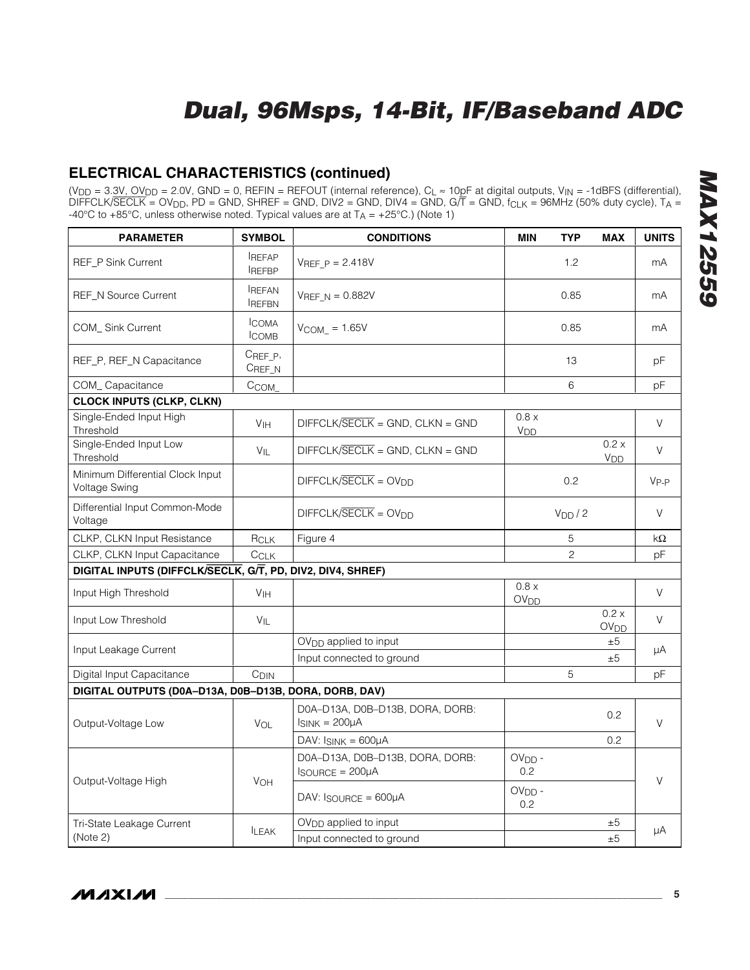### **ELECTRICAL CHARACTERISTICS (continued)**

| <b>PARAMETER</b>                                           | <b>SYMBOL</b>                 | <b>CONDITIONS</b>                                          | <b>MIN</b>                | TYP                | <b>MAX</b>                      | <b>UNITS</b> |
|------------------------------------------------------------|-------------------------------|------------------------------------------------------------|---------------------------|--------------------|---------------------------------|--------------|
| <b>REF_P Sink Current</b>                                  | <b>IREFAP</b><br><b>REFBP</b> | $V_{REF}$ $p = 2.418V$                                     |                           | 1.2                |                                 | mA           |
| <b>REF_N Source Current</b>                                | <b>REFAN</b><br><b>REFBN</b>  | $V_{REF N} = 0.882V$                                       |                           | 0.85               |                                 | mA           |
| <b>COM_Sink Current</b>                                    | <b>ICOMA</b><br><b>ICOMB</b>  | $V_{COM} = 1.65V$                                          |                           | 0.85               |                                 | mA           |
| REF_P, REF_N Capacitance                                   | CREF_P,<br>CREF_N             |                                                            |                           | 13                 |                                 | pF           |
| COM_Capacitance                                            | C <sub>COM</sub>              |                                                            |                           | 6                  |                                 | pF           |
| <b>CLOCK INPUTS (CLKP, CLKN)</b>                           |                               |                                                            |                           |                    |                                 |              |
| Single-Ended Input High<br>Threshold                       | V <sub>IH</sub>               | DIFFCLK/SECLK = GND, CLKN = GND                            | 0.8 x<br>V <sub>DD</sub>  |                    |                                 | V            |
| Single-Ended Input Low<br>Threshold                        | $V_{\parallel}$               | $DIFFCLK/SECLK = GND, CLKN = GND$                          |                           |                    | 0.2 x<br>V <sub>DD</sub>        | $\vee$       |
| Minimum Differential Clock Input<br>Voltage Swing          |                               | $DIFFCK/SECLK = OVDD$                                      |                           | 0.2                |                                 | $V_{P-P}$    |
| Differential Input Common-Mode<br>Voltage                  |                               | $DIFFCK/SECLK = OVDD$                                      |                           | V <sub>DD</sub> /2 |                                 | V            |
| <b>CLKP, CLKN Input Resistance</b>                         | RCLK                          | Figure 4                                                   |                           | 5                  |                                 | kΩ           |
| CLKP, CLKN Input Capacitance                               | CCLK                          |                                                            |                           | $\overline{c}$     |                                 | рF           |
| DIGITAL INPUTS (DIFFCLK/SECLK, G/T, PD, DIV2, DIV4, SHREF) |                               |                                                            |                           |                    |                                 |              |
| Input High Threshold                                       | V <sub>IH</sub>               |                                                            | 0.8 x<br>OV <sub>DD</sub> |                    |                                 | V            |
| Input Low Threshold                                        | VIL                           |                                                            |                           |                    | 0.2 x<br><b>OV<sub>DD</sub></b> | $\vee$       |
| Input Leakage Current                                      |                               | $OVDD$ applied to input<br>Input connected to ground       |                           |                    | ±5<br>±5                        | μA           |
| Digital Input Capacitance                                  | C <sub>DIN</sub>              |                                                            |                           | 5                  |                                 | рF           |
| DIGITAL OUTPUTS (D0A-D13A, D0B-D13B, DORA, DORB, DAV)      |                               |                                                            |                           |                    |                                 |              |
| Output-Voltage Low                                         | VOL                           | D0A-D13A, D0B-D13B, DORA, DORB:<br>$I_{SINK} = 200 \mu A$  |                           |                    | 0.2                             | $\vee$       |
|                                                            |                               | DAV: $I_{SINK} = 600\mu A$                                 |                           |                    | 0.2                             |              |
|                                                            |                               | D0A-D13A, D0B-D13B, DORA, DORB:<br>$I$ SOURCE = $200\mu$ A | $OVDD$ -<br>0.2           |                    |                                 | $\vee$       |
| Output-Voltage High                                        | VOH                           | $DAV: IgOURCE = 600µA$                                     | $OVDD$ -<br>0.2           |                    |                                 |              |
| Tri-State Leakage Current                                  |                               | $OVDD$ applied to input                                    |                           |                    | ±5                              |              |
| (Note 2)                                                   | <b>LEAK</b>                   | Input connected to ground                                  |                           |                    | ±5                              | μA           |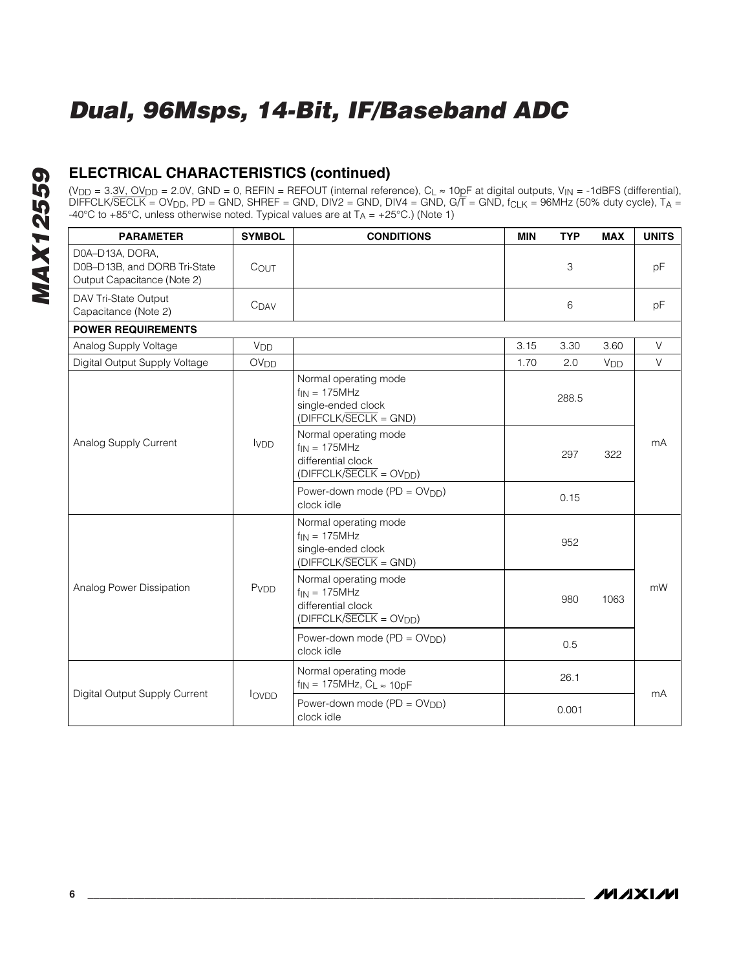### **ELECTRICAL CHARACTERISTICS (continued)**

| <b>PARAMETER</b>                                                               | <b>SYMBOL</b>    | <b>CONDITIONS</b>                                                                            | <b>MIN</b> | <b>TYP</b> | <b>MAX</b>            | <b>UNITS</b> |
|--------------------------------------------------------------------------------|------------------|----------------------------------------------------------------------------------------------|------------|------------|-----------------------|--------------|
| D0A-D13A, DORA,<br>D0B-D13B, and DORB Tri-State<br>Output Capacitance (Note 2) | COUT             |                                                                                              |            | 3          |                       | pF           |
| DAV Tri-State Output<br>Capacitance (Note 2)                                   | $C_{DAV}$        |                                                                                              |            | 6          |                       | pF           |
| <b>POWER REQUIREMENTS</b>                                                      |                  |                                                                                              |            |            |                       |              |
| Analog Supply Voltage                                                          | V <sub>DD</sub>  |                                                                                              | 3.15       | 3.30       | 3.60                  | V            |
| Digital Output Supply Voltage                                                  | OV <sub>DD</sub> |                                                                                              | 1.70       | 2.0        | <b>V<sub>DD</sub></b> | V            |
|                                                                                |                  | Normal operating mode<br>$f_{IN} = 175MHz$<br>single-ended clock<br>$(DIFFCLK/SECLK = GND)$  |            | 288.5      |                       |              |
| Analog Supply Current                                                          | <b>IVDD</b>      | Normal operating mode<br>$f_{IN} = 175MHz$<br>differential clock<br>$(DIFFCLK/SECLK = OVDD)$ |            | 297        | 322                   | mA           |
|                                                                                |                  | Power-down mode (PD = OV <sub>DD</sub> )<br>clock idle                                       |            | 0.15       |                       |              |
|                                                                                |                  | Normal operating mode<br>$f_{IN} = 175MHz$<br>single-ended clock<br>$(DIFFCLK/SECLK = GND)$  |            | 952        |                       |              |
| Analog Power Dissipation                                                       | PVDD             | Normal operating mode<br>$f_{IN} = 175MHz$<br>differential clock<br>$(DIFFCLK/SECLK = OVDD)$ |            | 980        | 1063                  | mW           |
|                                                                                |                  | Power-down mode (PD = OV <sub>DD</sub> )<br>clock idle                                       |            | 0.5        |                       |              |
| Digital Output Supply Current                                                  | lovpp            | Normal operating mode<br>$f_{IN} = 175 MHz$ , $C_L \approx 10pF$                             |            | 26.1       |                       | mA           |
|                                                                                |                  | Power-down mode ( $PD = OV_{DD}$ )<br>clock idle                                             |            | 0.001      |                       |              |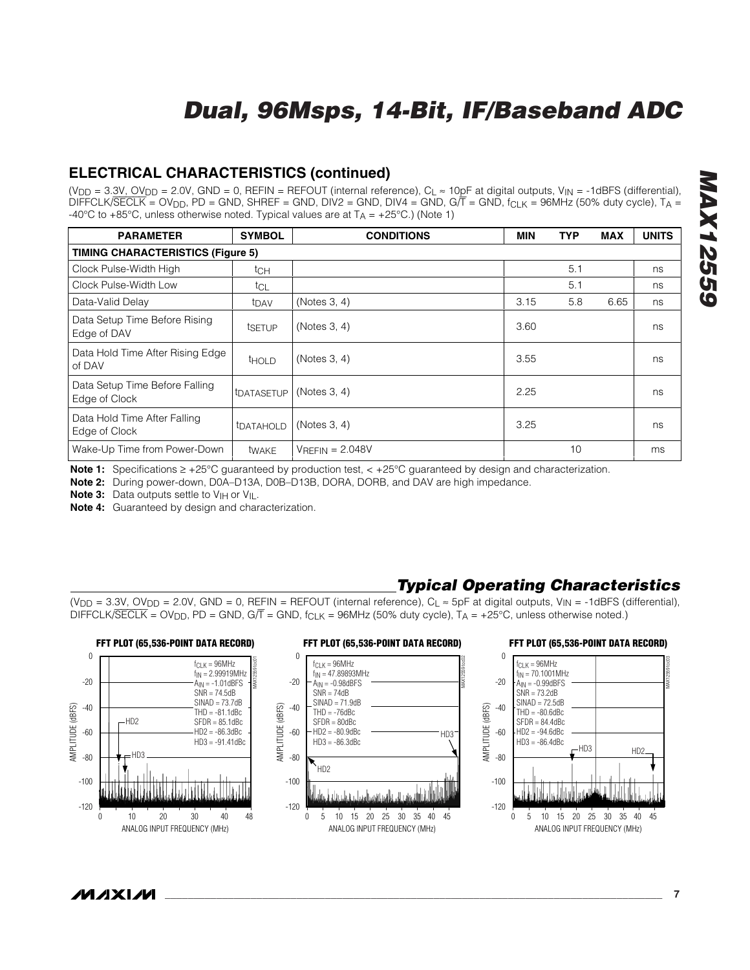### **ELECTRICAL CHARACTERISTICS (continued)**

(V<sub>DD</sub> = 3.3V, OV<sub>DD</sub> = 2.0V, GND = 0, REFIN = REFOUT (internal reference), C<sub>L</sub>  $\approx$  10pF at digital outputs, V<sub>IN</sub> = -1dBFS (differential),  $\overline{D}$ IFFCLK/SECLK = OV<sub>DD</sub>, PD = GND, SHREF = GND, DIV2 = GND, DIV4 = GND, G/T = GND, f<sub>CLK</sub> = 96MHz (50% duty cycle), TA = -40°C to +85°C, unless otherwise noted. Typical values are at  $T_A = +25$ °C.) (Note 1)

| <b>PARAMETER</b>                                | <b>SYMBOL</b>           | <b>CONDITIONS</b> | <b>MIN</b> | <b>TYP</b> | <b>MAX</b> | <b>UNITS</b> |
|-------------------------------------------------|-------------------------|-------------------|------------|------------|------------|--------------|
| <b>TIMING CHARACTERISTICS (Figure 5)</b>        |                         |                   |            |            |            |              |
| Clock Pulse-Width High                          | tch                     |                   |            | 5.1        |            | ns           |
| Clock Pulse-Width Low                           | tcl                     |                   |            | 5.1        |            | ns           |
| Data-Valid Delay                                | t <sub>DAV</sub>        | (Notes 3, 4)      | 3.15       | 5.8        | 6.65       | ns           |
| Data Setup Time Before Rising<br>Edge of DAV    | tsetup                  | (Notes 3, 4)      | 3.60       |            |            | ns           |
| Data Hold Time After Rising Edge<br>of DAV      | <b>THOLD</b>            | (Notes 3, 4)      | 3.55       |            |            | ns           |
| Data Setup Time Before Falling<br>Edge of Clock | tDATASETUP              | (Notes 3, 4)      | 2.25       |            |            | ns           |
| Data Hold Time After Falling<br>Edge of Clock   | <b><i>IDATAHOLD</i></b> | (Notes 3, 4)      | 3.25       |            |            | ns           |
| Wake-Up Time from Power-Down                    | twake                   | $VREFIN = 2.048V$ |            | 10         |            | ms           |

**Note 1:** Specifications ≥ +25°C guaranteed by production test, < +25°C guaranteed by design and characterization.

**Note 2:** During power-down, D0A–D13A, D0B–D13B, DORA, DORB, and DAV are high impedance.

**Note 3:** Data outputs settle to V<sub>IH</sub> or V<sub>II</sub>.

**Note 4:** Guaranteed by design and characterization.

### *Typical Operating Characteristics*

(V<sub>DD</sub> = 3.3V, OV<sub>DD</sub> = 2.0V, GND = 0, REFIN = REFOUT (internal reference),  $C_L \approx 5pF$  at digital outputs, V<sub>IN</sub> = -1dBFS (differential), DIFFCLK/SECLK = OV<sub>DD</sub>, PD = GND, G/T = GND, f<sub>CLK</sub> = 96MHz (50% duty cycle), T<sub>A</sub> = +25°C, unless otherwise noted.)

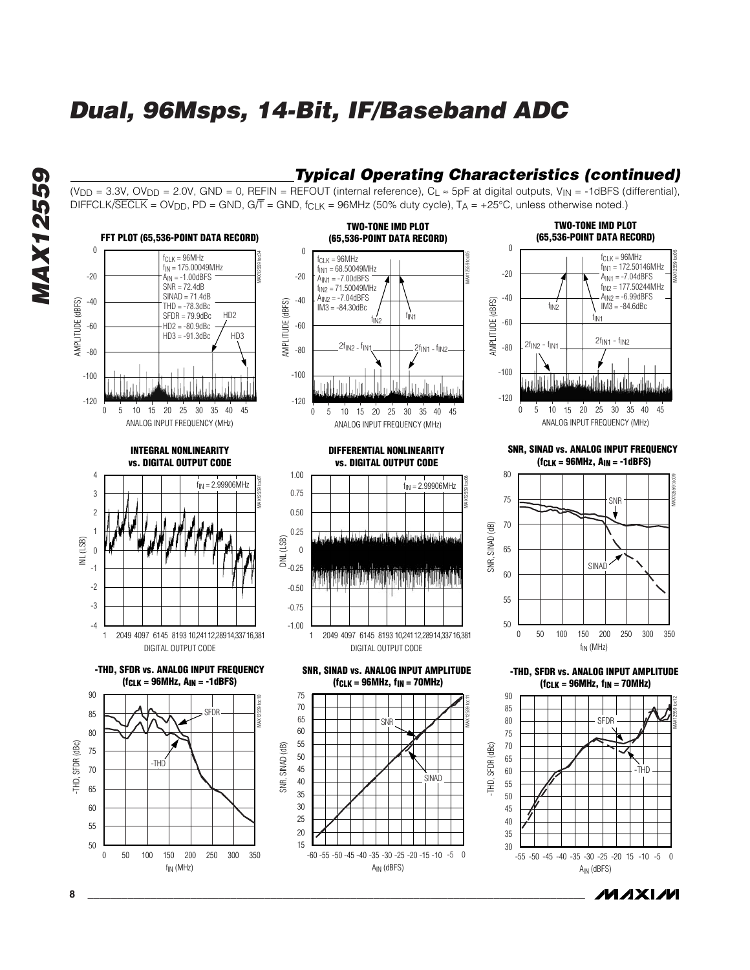(V<sub>DD</sub> = 3.3V, OV<sub>DD</sub> = 2.0V, GND = 0, REFIN = REFOUT (internal reference), C<sub>I</sub>  $\approx$  5pF at digital outputs, V<sub>IN</sub> = -1dBFS (differential),

*Typical Operating Characteristics (continued)*

/VI/IXI/VI





**8 \_\_\_\_\_\_\_\_\_\_\_\_\_\_\_\_\_\_\_\_\_\_\_\_\_\_\_\_\_\_\_\_\_\_\_\_\_\_\_\_\_\_\_\_\_\_\_\_\_\_\_\_\_\_\_\_\_\_\_\_\_\_\_\_\_\_\_\_\_\_\_\_\_\_\_\_\_\_\_\_\_\_\_\_\_\_\_**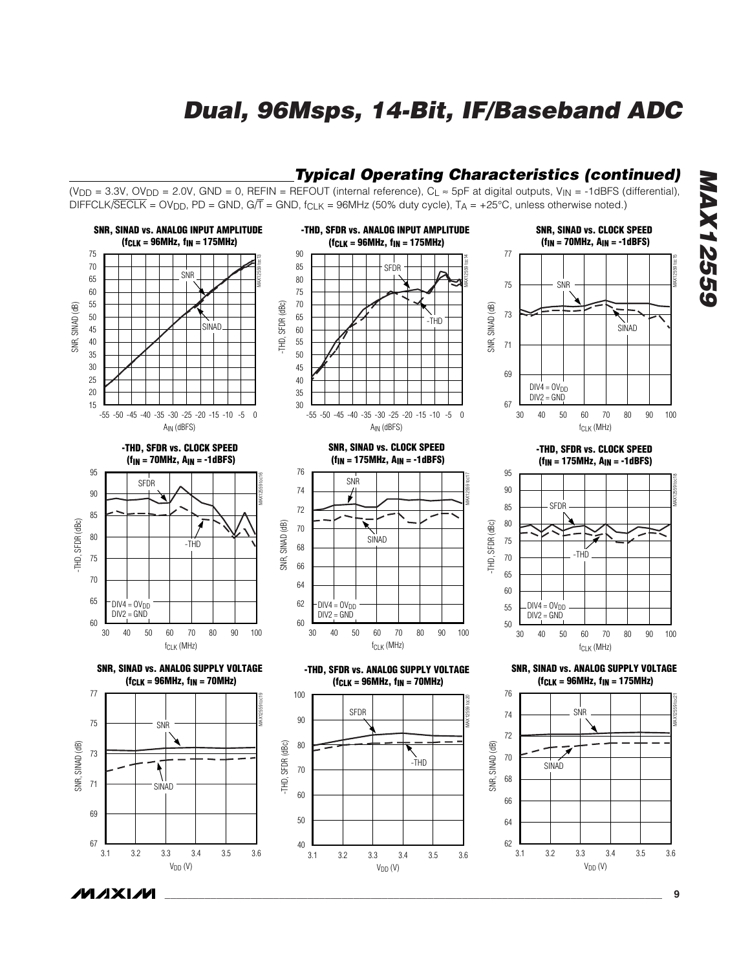

*\_\_\_\_\_\_\_\_\_\_\_\_\_\_\_\_\_\_\_\_\_\_\_\_\_\_\_\_\_\_\_\_\_\_\_\_\_\_\_\_\_\_\_\_\_\_\_\_\_\_\_\_\_\_\_\_\_\_\_\_\_\_\_\_\_\_\_\_\_\_\_\_\_\_\_\_\_\_\_\_\_\_\_\_\_\_\_* **9**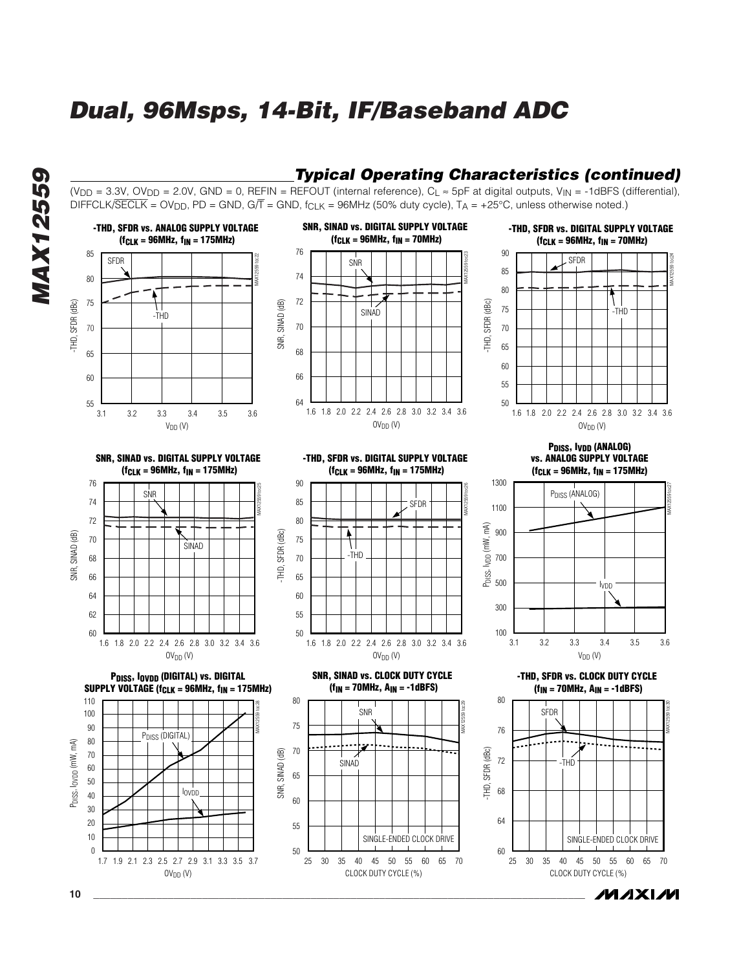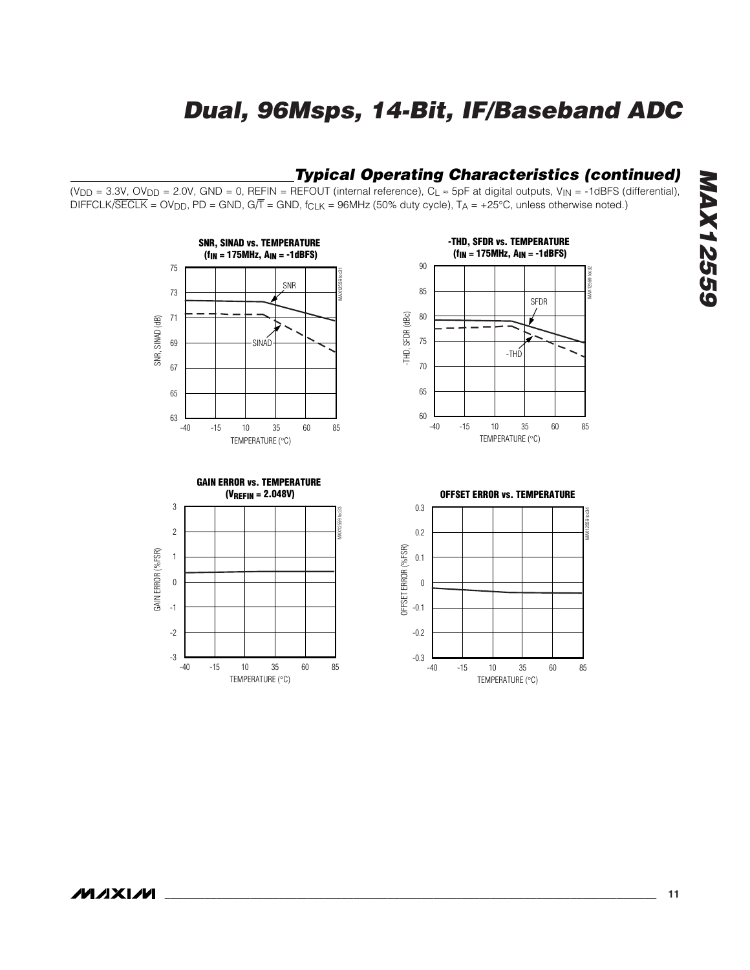### *Typical Operating Characteristics (continued)*

 $(V_{DD} = 3.3V, OV_{DD} = 2.0V, GND = 0, REFIN = REFOUT$  (internal reference),  $C_L \approx 5pF$  at digital outputs,  $V_{IN} = -1dBFS$  (differential), DIFFCLK/SECLK = OV<sub>DD</sub>, PD = GND, G/T = GND, f<sub>CLK</sub> = 96MHz (50% duty cycle), T<sub>A</sub> = +25°C, unless otherwise noted.)







**OFFSET ERROR vs. TEMPERATURE**

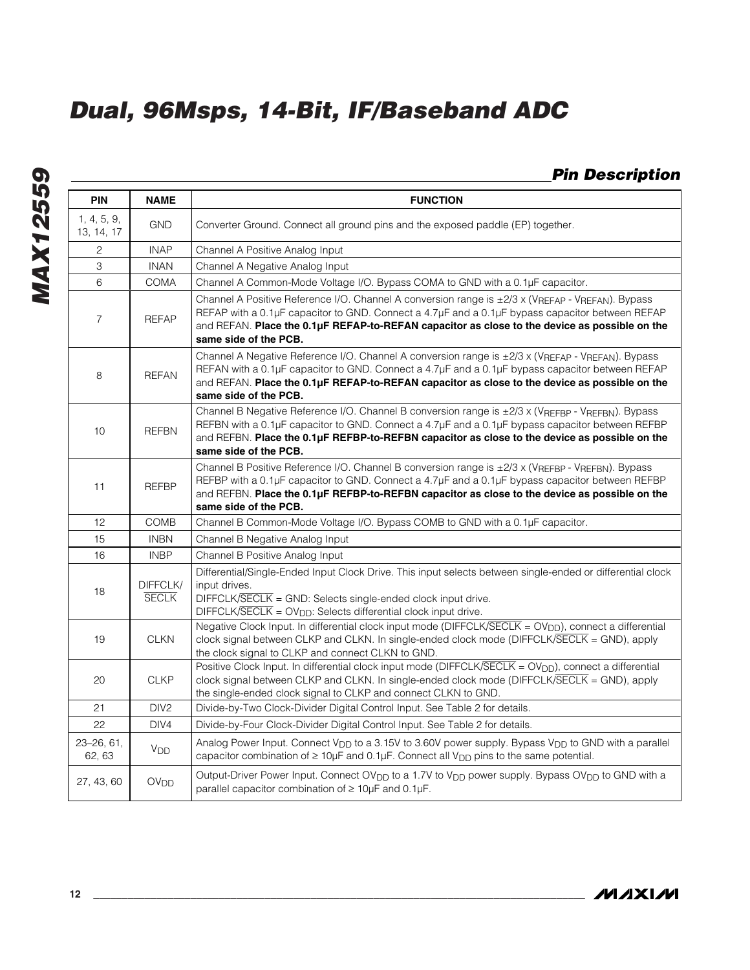### *Pin Description*

| <b>PIN</b>                | <b>NAME</b>              | <b>FUNCTION</b>                                                                                                                                                                                                                                                                                                               |
|---------------------------|--------------------------|-------------------------------------------------------------------------------------------------------------------------------------------------------------------------------------------------------------------------------------------------------------------------------------------------------------------------------|
| 1, 4, 5, 9,<br>13, 14, 17 | <b>GND</b>               | Converter Ground. Connect all ground pins and the exposed paddle (EP) together.                                                                                                                                                                                                                                               |
| 2                         | <b>INAP</b>              | Channel A Positive Analog Input                                                                                                                                                                                                                                                                                               |
| 3                         | <b>INAN</b>              | Channel A Negative Analog Input                                                                                                                                                                                                                                                                                               |
| 6                         | <b>COMA</b>              | Channel A Common-Mode Voltage I/O. Bypass COMA to GND with a 0.1µF capacitor.                                                                                                                                                                                                                                                 |
| $\overline{7}$            | <b>REFAP</b>             | Channel A Positive Reference I/O. Channel A conversion range is ±2/3 x (VREFAP - VREFAN). Bypass<br>REFAP with a 0.1µF capacitor to GND. Connect a 4.7µF and a 0.1µF bypass capacitor between REFAP<br>and REFAN. Place the 0.1µF REFAP-to-REFAN capacitor as close to the device as possible on the<br>same side of the PCB. |
| 8                         | <b>REFAN</b>             | Channel A Negative Reference I/O. Channel A conversion range is ±2/3 x (VREFAP - VREFAN). Bypass<br>REFAN with a 0.1µF capacitor to GND. Connect a 4.7µF and a 0.1µF bypass capacitor between REFAP<br>and REFAN. Place the 0.1µF REFAP-to-REFAN capacitor as close to the device as possible on the<br>same side of the PCB. |
| 10                        | <b>REFBN</b>             | Channel B Negative Reference I/O. Channel B conversion range is ±2/3 x (VREFBP - VREFBN). Bypass<br>REFBN with a 0.1µF capacitor to GND. Connect a 4.7µF and a 0.1µF bypass capacitor between REFBP<br>and REFBN. Place the 0.1µF REFBP-to-REFBN capacitor as close to the device as possible on the<br>same side of the PCB. |
| 11                        | <b>REFBP</b>             | Channel B Positive Reference I/O. Channel B conversion range is ±2/3 x (VREFBP - VREFBN). Bypass<br>REFBP with a 0.1µF capacitor to GND. Connect a 4.7µF and a 0.1µF bypass capacitor between REFBP<br>and REFBN. Place the 0.1µF REFBP-to-REFBN capacitor as close to the device as possible on the<br>same side of the PCB. |
| 12                        | COMB                     | Channel B Common-Mode Voltage I/O. Bypass COMB to GND with a 0.1µF capacitor.                                                                                                                                                                                                                                                 |
| 15                        | <b>INBN</b>              | Channel B Negative Analog Input                                                                                                                                                                                                                                                                                               |
| 16                        | <b>INBP</b>              | Channel B Positive Analog Input                                                                                                                                                                                                                                                                                               |
| 18                        | DIFFCLK/<br><b>SECLK</b> | Differential/Single-Ended Input Clock Drive. This input selects between single-ended or differential clock<br>input drives.<br>$DIFFCLK/SECLK = GND: Selects single-ended clock input drive.$<br>DIFFCLK/SECLK = OV <sub>DD</sub> : Selects differential clock input drive.                                                   |
| 19                        | <b>CLKN</b>              | Negative Clock Input. In differential clock input mode (DIFFCLK/SECLK = OV <sub>DD</sub> ), connect a differential<br>clock signal between CLKP and CLKN. In single-ended clock mode (DIFFCLK/SECLK = GND), apply<br>the clock signal to CLKP and connect CLKN to GND.                                                        |
| 20                        | <b>CLKP</b>              | Positive Clock Input. In differential clock input mode (DIFFCLK/SECLK = OV <sub>DD</sub> ), connect a differential<br>clock signal between CLKP and CLKN. In single-ended clock mode (DIFFCLK/SECLK = GND), apply<br>the single-ended clock signal to CLKP and connect CLKN to GND.                                           |
| 21                        | DIV <sub>2</sub>         | Divide-by-Two Clock-Divider Digital Control Input. See Table 2 for details.                                                                                                                                                                                                                                                   |
| 22                        | DIV4                     | Divide-by-Four Clock-Divider Digital Control Input. See Table 2 for details.                                                                                                                                                                                                                                                  |
| 23-26, 61,<br>62, 63      | <b>V<sub>DD</sub></b>    | Analog Power Input. Connect V <sub>DD</sub> to a 3.15V to 3.60V power supply. Bypass V <sub>DD</sub> to GND with a parallel<br>capacitor combination of $\geq 10\mu$ F and 0.1 $\mu$ F. Connect all V <sub>DD</sub> pins to the same potential.                                                                               |
| 27, 43, 60                | <b>OV<sub>DD</sub></b>   | Output-Driver Power Input. Connect OV <sub>DD</sub> to a 1.7V to V <sub>DD</sub> power supply. Bypass OV <sub>DD</sub> to GND with a<br>parallel capacitor combination of ≥ 10µF and 0.1µF.                                                                                                                                   |

**MAXIM**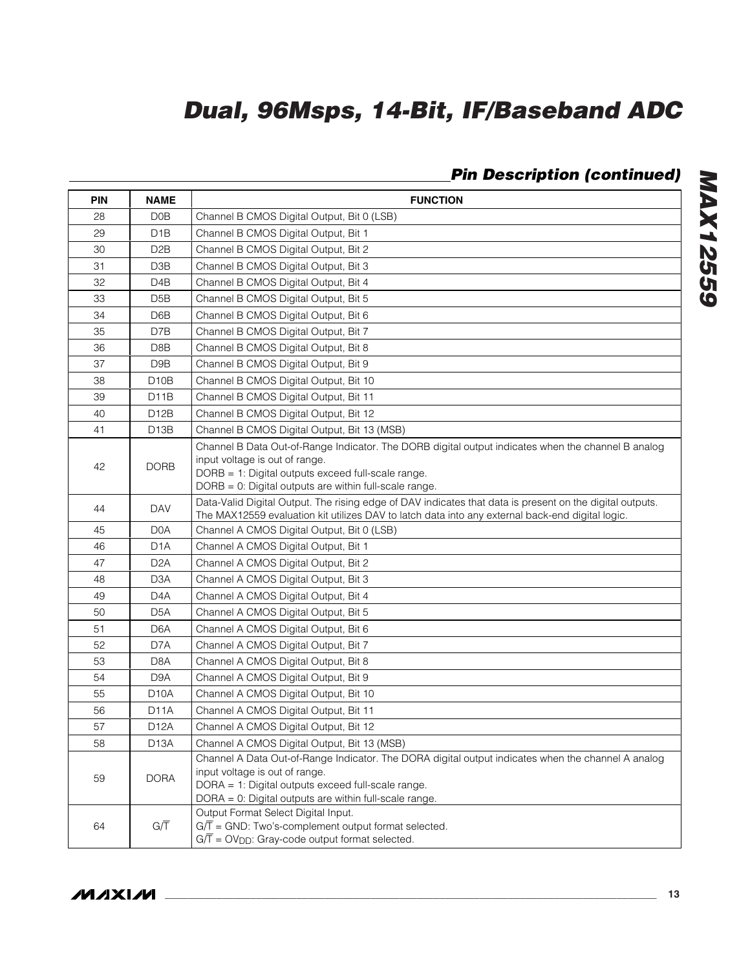### *Pin Description (continued)*

| <b>PIN</b> | <b>NAME</b>       | <b>FUNCTION</b>                                                                                                                                                                                                                                      |
|------------|-------------------|------------------------------------------------------------------------------------------------------------------------------------------------------------------------------------------------------------------------------------------------------|
| 28         | D <sub>0</sub> B  | Channel B CMOS Digital Output, Bit 0 (LSB)                                                                                                                                                                                                           |
| 29         | D <sub>1</sub> B  | Channel B CMOS Digital Output, Bit 1                                                                                                                                                                                                                 |
| 30         | D <sub>2</sub> B  | Channel B CMOS Digital Output, Bit 2                                                                                                                                                                                                                 |
| 31         | D <sub>3</sub> B  | Channel B CMOS Digital Output, Bit 3                                                                                                                                                                                                                 |
| 32         | D4B               | Channel B CMOS Digital Output, Bit 4                                                                                                                                                                                                                 |
| 33         | D <sub>5</sub> B  | Channel B CMOS Digital Output, Bit 5                                                                                                                                                                                                                 |
| 34         | D6B               | Channel B CMOS Digital Output, Bit 6                                                                                                                                                                                                                 |
| 35         | D7B               | Channel B CMOS Digital Output, Bit 7                                                                                                                                                                                                                 |
| 36         | D8B               | Channel B CMOS Digital Output, Bit 8                                                                                                                                                                                                                 |
| 37         | D <sub>9</sub> B  | Channel B CMOS Digital Output, Bit 9                                                                                                                                                                                                                 |
| 38         | D <sub>10</sub> B | Channel B CMOS Digital Output, Bit 10                                                                                                                                                                                                                |
| 39         | D <sub>11</sub> B | Channel B CMOS Digital Output, Bit 11                                                                                                                                                                                                                |
| 40         | D <sub>12</sub> B | Channel B CMOS Digital Output, Bit 12                                                                                                                                                                                                                |
| 41         | D <sub>13</sub> B | Channel B CMOS Digital Output, Bit 13 (MSB)                                                                                                                                                                                                          |
| 42         | <b>DORB</b>       | Channel B Data Out-of-Range Indicator. The DORB digital output indicates when the channel B analog<br>input voltage is out of range.<br>DORB = 1: Digital outputs exceed full-scale range.<br>DORB = 0: Digital outputs are within full-scale range. |
| 44         | <b>DAV</b>        | Data-Valid Digital Output. The rising edge of DAV indicates that data is present on the digital outputs.<br>The MAX12559 evaluation kit utilizes DAV to latch data into any external back-end digital logic.                                         |
| 45         | D <sub>0</sub> A  | Channel A CMOS Digital Output, Bit 0 (LSB)                                                                                                                                                                                                           |
| 46         | D <sub>1</sub> A  | Channel A CMOS Digital Output, Bit 1                                                                                                                                                                                                                 |
| 47         | D <sub>2</sub> A  | Channel A CMOS Digital Output, Bit 2                                                                                                                                                                                                                 |
| 48         | D <sub>3</sub> A  | Channel A CMOS Digital Output, Bit 3                                                                                                                                                                                                                 |
| 49         | D <sub>4</sub> A  | Channel A CMOS Digital Output, Bit 4                                                                                                                                                                                                                 |
| 50         | D <sub>5</sub> A  | Channel A CMOS Digital Output, Bit 5                                                                                                                                                                                                                 |
| 51         | D <sub>6</sub> A  | Channel A CMOS Digital Output, Bit 6                                                                                                                                                                                                                 |
| 52         | D7A               | Channel A CMOS Digital Output, Bit 7                                                                                                                                                                                                                 |
| 53         | D <sub>8</sub> A  | Channel A CMOS Digital Output, Bit 8                                                                                                                                                                                                                 |
| 54         | D <sub>9</sub> A  | Channel A CMOS Digital Output, Bit 9                                                                                                                                                                                                                 |
| 55         | D <sub>10</sub> A | Channel A CMOS Digital Output, Bit 10                                                                                                                                                                                                                |
| 56         | D <sub>1</sub> 1A | Channel A CMOS Digital Output, Bit 11                                                                                                                                                                                                                |
| 57         | D <sub>12</sub> A | Channel A CMOS Digital Output, Bit 12                                                                                                                                                                                                                |
| 58         | D <sub>13</sub> A | Channel A CMOS Digital Output, Bit 13 (MSB)                                                                                                                                                                                                          |
| 59         | <b>DORA</b>       | Channel A Data Out-of-Range Indicator. The DORA digital output indicates when the channel A analog<br>input voltage is out of range.<br>DORA = 1: Digital outputs exceed full-scale range.<br>DORA = 0: Digital outputs are within full-scale range. |
| 64         | $G/\overline{T}$  | Output Format Select Digital Input.<br>$G/\overline{T}$ = GND: Two's-complement output format selected.<br>$G/\overline{T}$ = OV <sub>DD</sub> : Gray-code output format selected.                                                                   |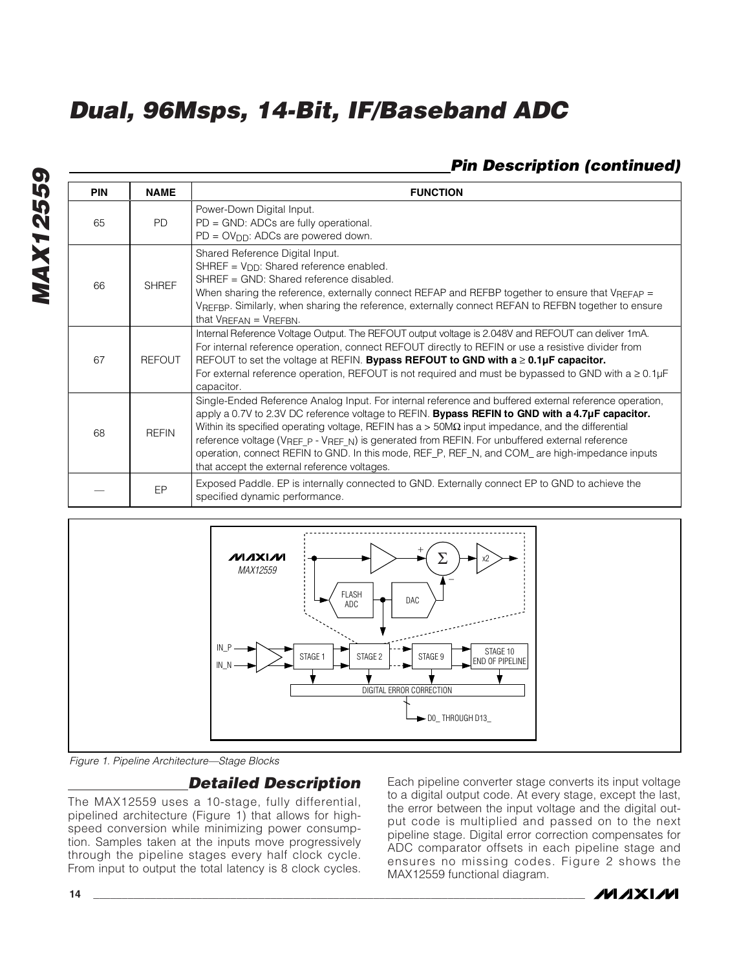### *Pin Description (continued)*

| <b>PIN</b> | <b>NAME</b>    | <b>FUNCTION</b>                                                                                                                                                                                                                                                                                                                                                                                                                                                                                                                                                           |
|------------|----------------|---------------------------------------------------------------------------------------------------------------------------------------------------------------------------------------------------------------------------------------------------------------------------------------------------------------------------------------------------------------------------------------------------------------------------------------------------------------------------------------------------------------------------------------------------------------------------|
| 65         | P <sub>D</sub> | Power-Down Digital Input.<br>PD = GND: ADCs are fully operational.<br>$PD = OV_{DD}$ : ADCs are powered down.                                                                                                                                                                                                                                                                                                                                                                                                                                                             |
| 66         | <b>SHREF</b>   | Shared Reference Digital Input.<br>SHREF = $V_{DD}$ : Shared reference enabled.<br>SHREF = GND: Shared reference disabled.<br>When sharing the reference, externally connect REFAP and REFBP together to ensure that VREFAP =<br>VREFBP. Similarly, when sharing the reference, externally connect REFAN to REFBN together to ensure<br>that $V_{REFAN} = V_{REFBN}$ .                                                                                                                                                                                                    |
| 67         | <b>REFOUT</b>  | Internal Reference Voltage Output. The REFOUT output voltage is 2.048V and REFOUT can deliver 1mA.<br>For internal reference operation, connect REFOUT directly to REFIN or use a resistive divider from<br>REFOUT to set the voltage at REFIN. Bypass REFOUT to GND with $a \geq 0.1 \mu F$ capacitor.<br>For external reference operation, REFOUT is not required and must be bypassed to GND with $a \ge 0.1 \mu F$<br>capacitor.                                                                                                                                      |
| 68         | <b>RFFIN</b>   | Single-Ended Reference Analog Input. For internal reference and buffered external reference operation,<br>apply a 0.7V to 2.3V DC reference voltage to REFIN. Bypass REFIN to GND with a 4.7µF capacitor.<br>Within its specified operating voltage, REFIN has $a > 50M\Omega$ input impedance, and the differential<br>reference voltage (VREF_P - VREF_N) is generated from REFIN. For unbuffered external reference<br>operation, connect REFIN to GND. In this mode, REF_P, REF_N, and COM_ are high-impedance inputs<br>that accept the external reference voltages. |
|            | EP             | Exposed Paddle. EP is internally connected to GND. Externally connect EP to GND to achieve the<br>specified dynamic performance.                                                                                                                                                                                                                                                                                                                                                                                                                                          |



*Figure 1. Pipeline Architecture—Stage Blocks*

### *Detailed Description*

The MAX12559 uses a 10-stage, fully differential, pipelined architecture (Figure 1) that allows for highspeed conversion while minimizing power consumption. Samples taken at the inputs move progressively through the pipeline stages every half clock cycle. From input to output the total latency is 8 clock cycles. Each pipeline converter stage converts its input voltage to a digital output code. At every stage, except the last, the error between the input voltage and the digital output code is multiplied and passed on to the next pipeline stage. Digital error correction compensates for ADC comparator offsets in each pipeline stage and ensures no missing codes. Figure 2 shows the MAX12559 functional diagram.

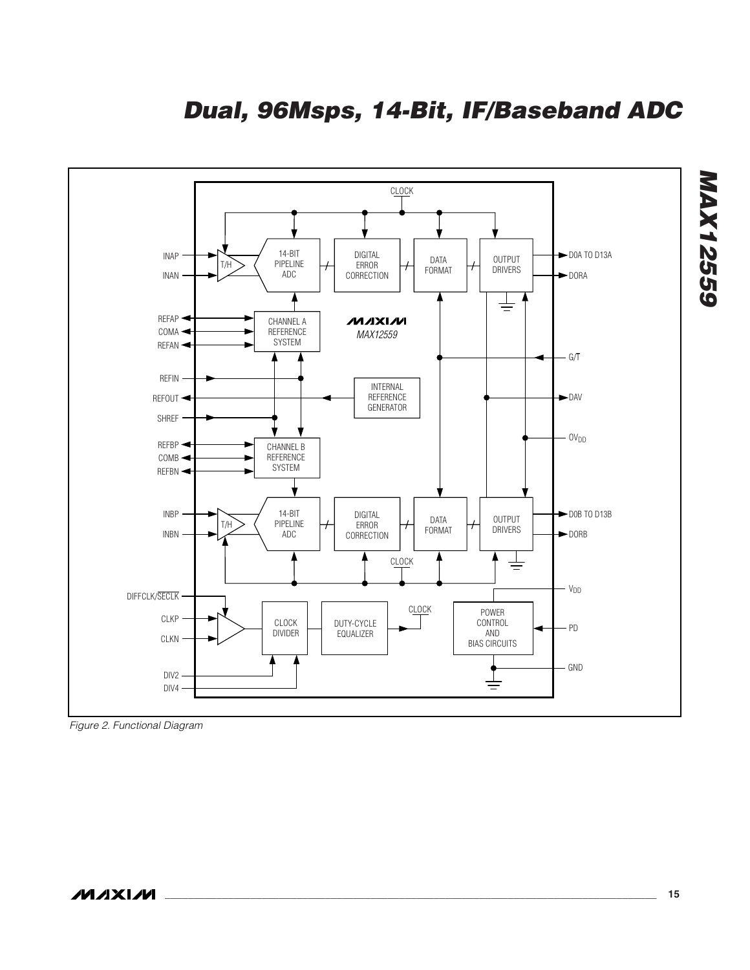*Dual, 96Msps, 14-Bit, IF/Baseband ADC*



*Figure 2. Functional Diagram*

*MAX12559*

**MAX12559**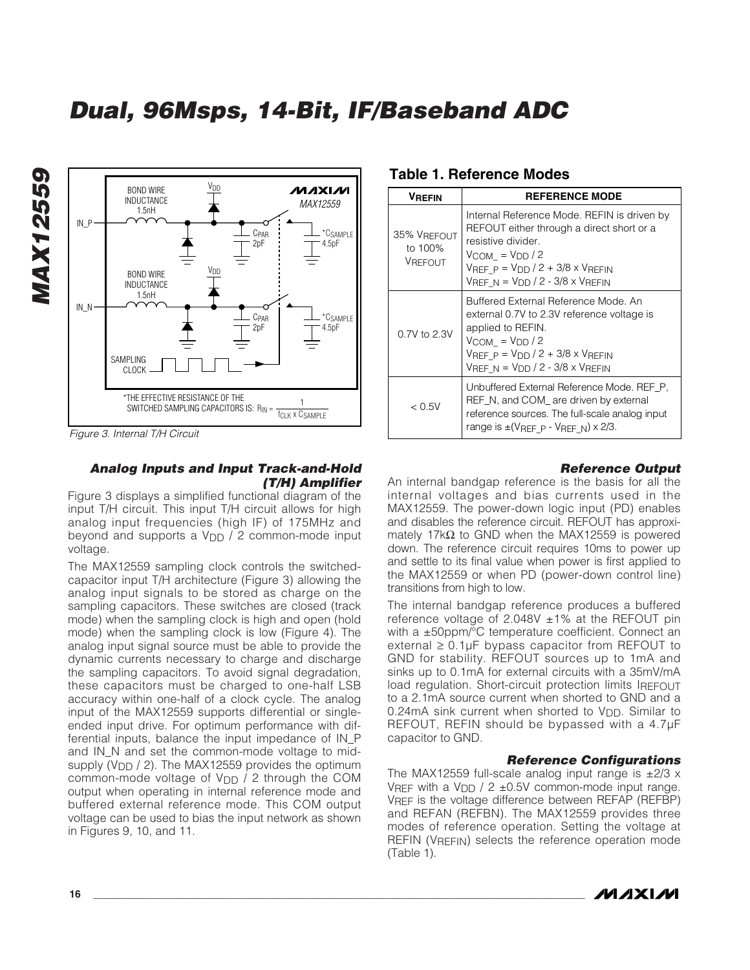

*Figure 3. Internal T/H Circuit*

*MAX12559*

**MAX12559** 

#### *Analog Inputs and Input Track-and-Hold (T/H) Amplifier*

Figure 3 displays a simplified functional diagram of the input T/H circuit. This input T/H circuit allows for high analog input frequencies (high IF) of 175MHz and beyond and supports a  $V_{DD}$  / 2 common-mode input voltage.

The MAX12559 sampling clock controls the switchedcapacitor input T/H architecture (Figure 3) allowing the analog input signals to be stored as charge on the sampling capacitors. These switches are closed (track mode) when the sampling clock is high and open (hold mode) when the sampling clock is low (Figure 4). The analog input signal source must be able to provide the dynamic currents necessary to charge and discharge the sampling capacitors. To avoid signal degradation, these capacitors must be charged to one-half LSB accuracy within one-half of a clock cycle. The analog input of the MAX12559 supports differential or singleended input drive. For optimum performance with differential inputs, balance the input impedance of IN\_P and IN\_N and set the common-mode voltage to midsupply (V<sub>DD</sub> / 2). The MAX12559 provides the optimum common-mode voltage of  $V_{DD}$  / 2 through the COM output when operating in internal reference mode and buffered external reference mode. This COM output voltage can be used to bias the input network as shown in Figures 9, 10, and 11.

#### **Table 1. Reference Modes**

| <b>VREFIN</b>                            | <b>REFERENCE MODE</b>                                                                                                                                                                                                                   |
|------------------------------------------|-----------------------------------------------------------------------------------------------------------------------------------------------------------------------------------------------------------------------------------------|
| 35% VREFOUT<br>to 100%<br><b>VREFOUT</b> | Internal Reference Mode. REFIN is driven by<br>REFOUT either through a direct short or a<br>resistive divider.<br>$V_{COM} = V_{DD} / 2$<br>$V$ REF P = $V$ DD / 2 + 3/8 x $V$ REFIN<br>$V_{REF N} = V_{DD} / 2 - 3/8 \times V_{REFIN}$ |
| 0.7V to 2.3V                             | Buffered External Reference Mode, An<br>external 0.7V to 2.3V reference voltage is<br>applied to REFIN.<br>$V_{COM} = V_{DD}/2$<br>$V_{REF}$ P = $V_{DD}$ / 2 + 3/8 x $V_{REFIN}$<br>$V_{REF N} = V_{DD} / 2 - 3/8 \times V_{REFIN}$    |
| < 0.5V                                   | Unbuffered External Reference Mode. REF P.<br>REF_N, and COM_ are driven by external<br>reference sources. The full-scale analog input<br>range is $\pm$ (VREF P - VREF N) $\times$ 2/3.                                                |

#### *Reference Output*

An internal bandgap reference is the basis for all the internal voltages and bias currents used in the MAX12559. The power-down logic input (PD) enables and disables the reference circuit. REFOUT has approximately 17k $\Omega$  to GND when the MAX12559 is powered down. The reference circuit requires 10ms to power up and settle to its final value when power is first applied to the MAX12559 or when PD (power-down control line) transitions from high to low.

The internal bandgap reference produces a buffered reference voltage of 2.048V  $\pm$ 1% at the REFOUT pin with a ±50ppm/°C temperature coefficient. Connect an external  $\geq 0.1 \mu$ F bypass capacitor from REFOUT to GND for stability. REFOUT sources up to 1mA and sinks up to 0.1mA for external circuits with a 35mV/mA load regulation. Short-circuit protection limits IREFOUT to a 2.1mA source current when shorted to GND and a 0.24mA sink current when shorted to  $V_{DD}$ . Similar to REFOUT, REFIN should be bypassed with a 4.7µF capacitor to GND.

#### *Reference Configurations*

The MAX12559 full-scale analog input range is  $\pm$ 2/3 x VREF with a V<sub>DD</sub> / 2  $\pm$ 0.5V common-mode input range. VREF is the voltage difference between REFAP (REFBP) and REFAN (REFBN). The MAX12559 provides three modes of reference operation. Setting the voltage at REFIN (V<sub>REFIN</sub>) selects the reference operation mode (Table 1).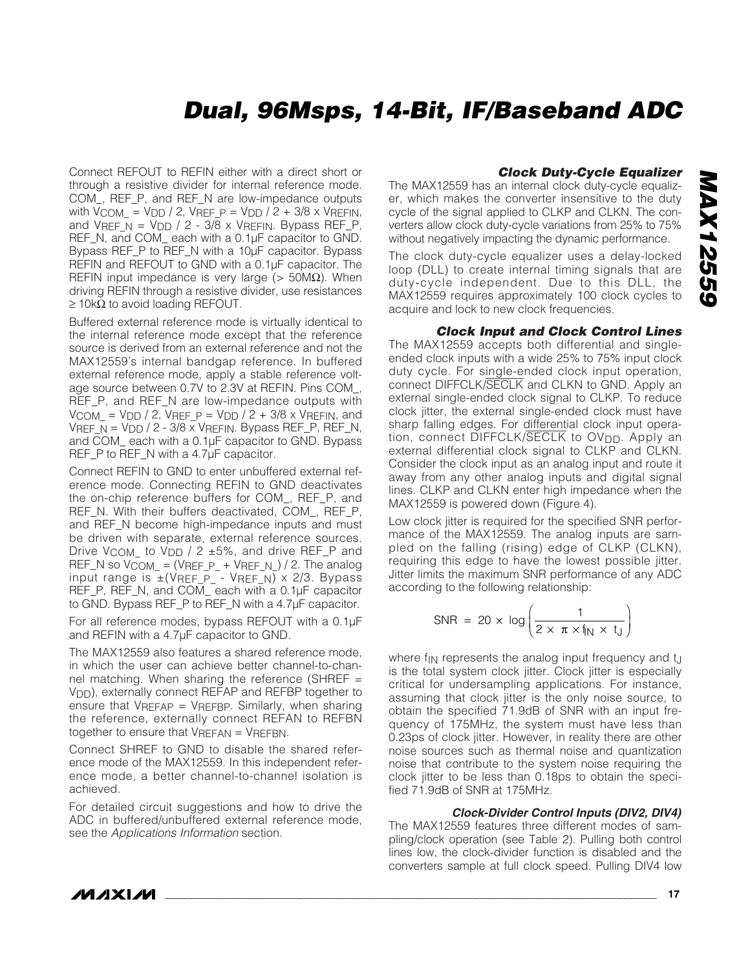Connect REFOUT to REFIN either with a direct short or through a resistive divider for internal reference mode. COM\_, REF\_P, and REF\_N are low-impedance outputs with  $V_{\text{COM}} = V_{\text{DD}} / 2$ , VREF  $P = V_{\text{DD}} / 2 + 3/8$  x VREFIN, and  $V_{REF}$  =  $V_{DD}$  / 2 -  $3/\overline{8}$  x  $V_{REF}$ . Bypass REF\_P, REF\_N, and COM\_ each with a 0.1µF capacitor to GND. Bypass REF\_P to REF\_N with a 10µF capacitor. Bypass REFIN and REFOUT to GND with a 0.1µF capacitor. The REFIN input impedance is very large ( $> 50MΩ$ ). When driving REFIN through a resistive divider, use resistances  $\geq$  10kΩ to avoid loading REFOUT.

Buffered external reference mode is virtually identical to the internal reference mode except that the reference source is derived from an external reference and not the MAX12559's internal bandgap reference. In buffered external reference mode, apply a stable reference voltage source between 0.7V to 2.3V at REFIN. Pins COM\_, REF\_P, and REF\_N are low-impedance outputs with  $V_{COM} = V_{DD} / 2$ ,  $V_{REF_P} = V_{DD} / 2 + 3/8 \times V_{REFIN}$ , and VREF  $N = VDD / 2 - 3/8 \times V$ REFIN. Bypass REF\_P, REF\_N, and COM\_ each with a 0.1µF capacitor to GND. Bypass REF\_P to REF\_N with a 4.7µF capacitor.

Connect REFIN to GND to enter unbuffered external reference mode. Connecting REFIN to GND deactivates the on-chip reference buffers for COM\_, REF\_P, and REF\_N. With their buffers deactivated, COM\_, REF\_P, and REF\_N become high-impedance inputs and must be driven with separate, external reference sources. Drive V<sub>COM</sub> to V<sub>DD</sub> / 2  $\pm$ 5%, and drive REF\_P and REF\_N so  $V_{COM} = (V_{REF} + V_{REF}N)/2$ . The analog input range is  $\pm$ (VREF\_P\_ - VREF\_N) x 2/3. Bypass REF\_P, REF\_N, and COM\_ each with a 0.1µF capacitor to GND. Bypass REF\_P to REF\_N with a 4.7µF capacitor.

For all reference modes, bypass REFOUT with a 0.1µF and REFIN with a 4.7µF capacitor to GND.

The MAX12559 also features a shared reference mode, in which the user can achieve better channel-to-channel matching. When sharing the reference (SHREF = VDD), externally connect REFAP and REFBP together to ensure that VREFAP = VREFBP. Similarly, when sharing the reference, externally connect REFAN to REFBN together to ensure that VREFAN = VREFBN.

Connect SHREF to GND to disable the shared reference mode of the MAX12559. In this independent reference mode, a better channel-to-channel isolation is achieved.

For detailed circuit suggestions and how to drive the ADC in buffered/unbuffered external reference mode, see the *Applications Information* section.

#### *Clock Duty-Cycle Equalizer*

The MAX12559 has an internal clock duty-cycle equalizer, which makes the converter insensitive to the duty cycle of the signal applied to CLKP and CLKN. The converters allow clock duty-cycle variations from 25% to 75% without negatively impacting the dynamic performance.

The clock duty-cycle equalizer uses a delay-locked loop (DLL) to create internal timing signals that are duty-cycle independent. Due to this DLL, the MAX12559 requires approximately 100 clock cycles to acquire and lock to new clock frequencies.

#### *Clock Input and Clock Control Lines*

The MAX12559 accepts both differential and singleended clock inputs with a wide 25% to 75% input clock duty cycle. For single-ended clock input operation, connect DIFFCLK/SECLK and CLKN to GND. Apply an external single-ended clock signal to CLKP. To reduce clock jitter, the external single-ended clock must have sharp falling edges. For differential clock input operation, connect DIFFCLK/SECLK to OV<sub>DD</sub>. Apply an external differential clock signal to CLKP and CLKN. Consider the clock input as an analog input and route it away from any other analog inputs and digital signal lines. CLKP and CLKN enter high impedance when the MAX12559 is powered down (Figure 4).

Low clock jitter is required for the specified SNR performance of the MAX12559. The analog inputs are sampled on the falling (rising) edge of CLKP (CLKN), requiring this edge to have the lowest possible jitter. Jitter limits the maximum SNR performance of any ADC according to the following relationship:

$$
SNR = 20 \times \log \left( \frac{1}{2 \times \pi \times f_{N} \times t_{J}} \right)
$$

where f<sub>IN</sub> represents the analog input frequency and t<sub>J</sub> is the total system clock jitter. Clock jitter is especially critical for undersampling applications. For instance, assuming that clock jitter is the only noise source, to obtain the specified 71.9dB of SNR with an input frequency of 175MHz, the system must have less than 0.23ps of clock jitter. However, in reality there are other noise sources such as thermal noise and quantization noise that contribute to the system noise requiring the clock jitter to be less than 0.18ps to obtain the specified 71.9dB of SNR at 175MHz.

#### *Clock-Divider Control Inputs (DIV2, DIV4)*

The MAX12559 features three different modes of sampling/clock operation (see Table 2). Pulling both control lines low, the clock-divider function is disabled and the converters sample at full clock speed. Pulling DIV4 low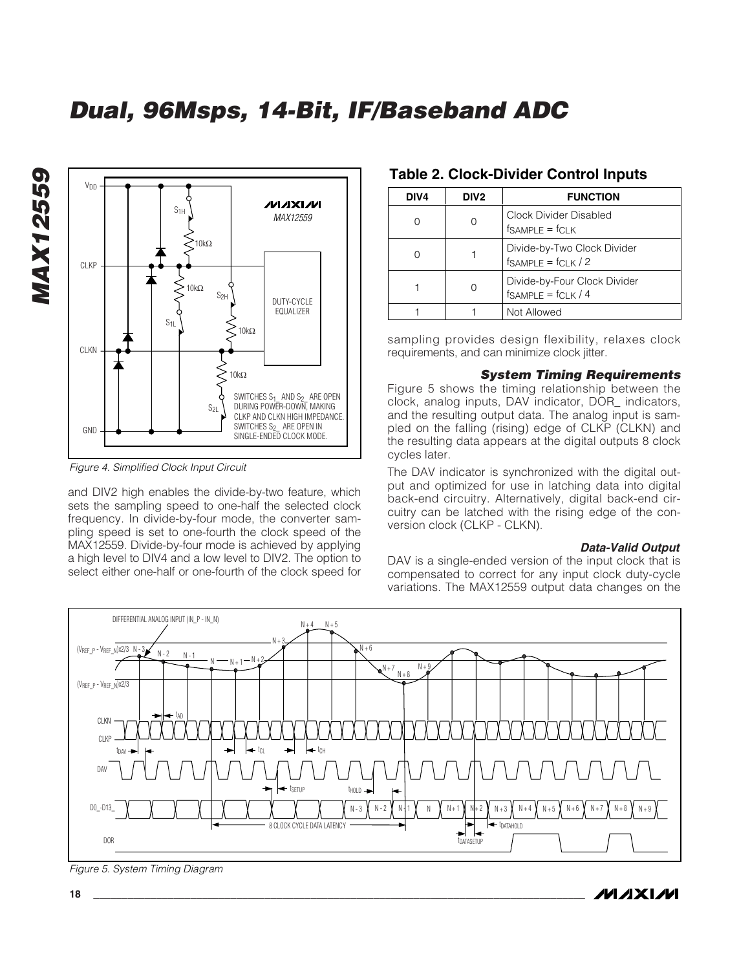

*Figure 4. Simplified Clock Input Circuit*

*MAX12559*

**MAX12559** 

and DIV2 high enables the divide-by-two feature, which sets the sampling speed to one-half the selected clock frequency. In divide-by-four mode, the converter sampling speed is set to one-fourth the clock speed of the MAX12559. Divide-by-four mode is achieved by applying a high level to DIV4 and a low level to DIV2. The option to select either one-half or one-fourth of the clock speed for

#### **Table 2. Clock-Divider Control Inputs**

| DIV4 | DIV <sub>2</sub> | <b>FUNCTION</b>                                           |
|------|------------------|-----------------------------------------------------------|
|      |                  | Clock Divider Disabled<br>$f$ SAMPLE = $f$ CLK            |
|      |                  | Divide-by-Two Clock Divider<br>$f_{SAMPLE} = f_{CLK} / 2$ |
|      |                  | Divide-by-Four Clock Divider<br>$f$ SAMPLE = $f$ CLK / 4  |
|      |                  | Not Allowed                                               |

sampling provides design flexibility, relaxes clock requirements, and can minimize clock jitter.

#### *System Timing Requirements*

Figure 5 shows the timing relationship between the clock, analog inputs, DAV indicator, DOR\_ indicators, and the resulting output data. The analog input is sampled on the falling (rising) edge of CLKP (CLKN) and the resulting data appears at the digital outputs 8 clock cycles later.

The DAV indicator is synchronized with the digital output and optimized for use in latching data into digital back-end circuitry. Alternatively, digital back-end circuitry can be latched with the rising edge of the conversion clock (CLKP - CLKN).

#### *Data-Valid Output*

DAV is a single-ended version of the input clock that is compensated to correct for any input clock duty-cycle variations. The MAX12559 output data changes on the



*Figure 5. System Timing Diagram*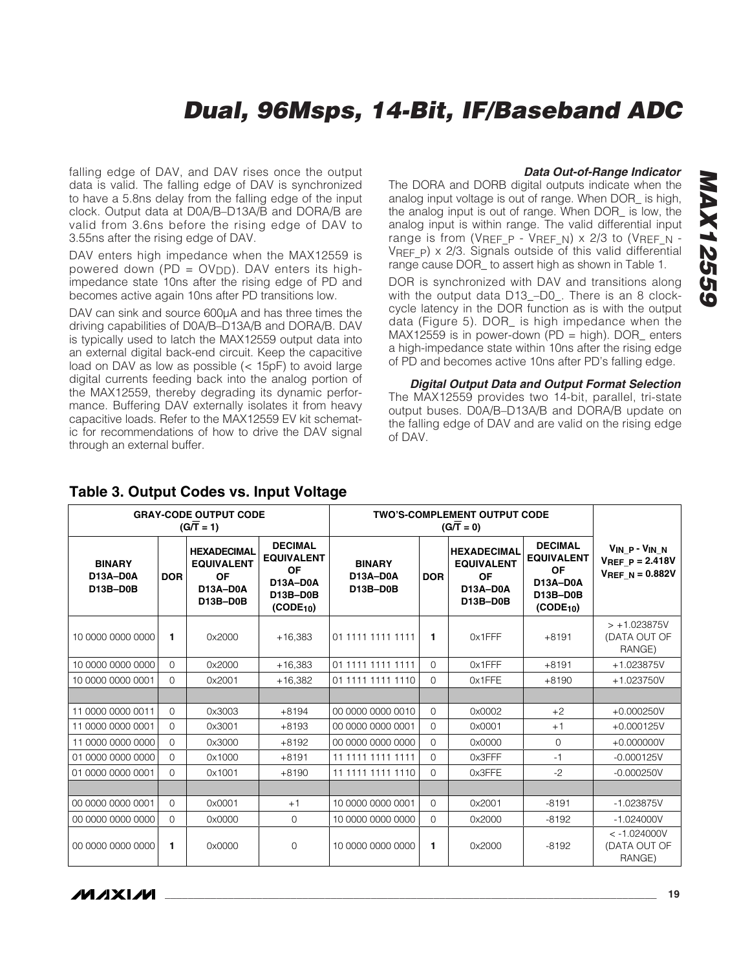falling edge of DAV, and DAV rises once the output data is valid. The falling edge of DAV is synchronized to have a 5.8ns delay from the falling edge of the input clock. Output data at D0A/B–D13A/B and DORA/B are valid from 3.6ns before the rising edge of DAV to 3.55ns after the rising edge of DAV.

DAV enters high impedance when the MAX12559 is powered down (PD =  $O(V_{DD})$ ). DAV enters its highimpedance state 10ns after the rising edge of PD and becomes active again 10ns after PD transitions low.

DAV can sink and source 600µA and has three times the driving capabilities of D0A/B–D13A/B and DORA/B. DAV is typically used to latch the MAX12559 output data into an external digital back-end circuit. Keep the capacitive load on DAV as low as possible (< 15pF) to avoid large digital currents feeding back into the analog portion of the MAX12559, thereby degrading its dynamic performance. Buffering DAV externally isolates it from heavy capacitive loads. Refer to the MAX12559 EV kit schematic for recommendations of how to drive the DAV signal through an external buffer.

#### *Data Out-of-Range Indicator*

The DORA and DORB digital outputs indicate when the analog input voltage is out of range. When DOR\_ is high, the analog input is out of range. When DOR\_ is low, the analog input is within range. The valid differential input range is from (VREF P - VREF N) x 2/3 to (VREF N -VREF P)  $\times$  2/3. Signals outside of this valid differential range cause DOR to assert high as shown in Table 1.

DOR is synchronized with DAV and transitions along with the output data D13\_–D0\_. There is an 8 clockcycle latency in the DOR function as is with the output data (Figure 5). DOR\_ is high impedance when the MAX12559 is in power-down (PD = high). DOR\_ enters a high-impedance state within 10ns after the rising edge of PD and becomes active 10ns after PD's falling edge.

*Digital Output Data and Output Format Selection* The MAX12559 provides two 14-bit, parallel, tri-state output buses. D0A/B–D13A/B and DORA/B update on the falling edge of DAV and are valid on the rising edge of DAV.

|                                       |                        | <b>GRAY-CODE OUTPUT CODE</b><br><b>TWO'S-COMPLEMENT OUTPUT CODE</b><br>$(G/\overline{T} = 1)$<br>$(G/\overline{T}=0)$<br><b>DECIMAL</b><br><b>HEXADECIMAL</b><br><b>HEXADECIMAL</b><br><b>EQUIVALENT</b><br><b>EQUIVALENT</b><br><b>EQUIVALENT</b><br><b>BINARY</b><br><b>OF</b><br><b>OF</b><br><b>OF</b><br>D13A-D0A<br><b>DOR</b><br>D13A-D0A<br>D13A-D0A<br>D13B-D0B<br>D13A-D0A |                                          |                   |          |           |                                                                                                   |                                                                |  |
|---------------------------------------|------------------------|--------------------------------------------------------------------------------------------------------------------------------------------------------------------------------------------------------------------------------------------------------------------------------------------------------------------------------------------------------------------------------------|------------------------------------------|-------------------|----------|-----------|---------------------------------------------------------------------------------------------------|----------------------------------------------------------------|--|
| <b>BINARY</b><br>D13A-D0A<br>D13B-D0B | <b>DOR</b><br>D13B-D0B |                                                                                                                                                                                                                                                                                                                                                                                      | <b>D13B-D0B</b><br>(CODE <sub>10</sub> ) |                   |          | D13B-D0B  | <b>DECIMAL</b><br><b>EQUIVALENT</b><br><b>OF</b><br>D13A-D0A<br>D13B-D0B<br>(CODE <sub>10</sub> ) | VIN P-VIN N<br>$V_{REF}$ $p = 2.418V$<br>$V_{REF\_N} = 0.882V$ |  |
| 10,0000,0000,0000                     | 1                      | 0x2000                                                                                                                                                                                                                                                                                                                                                                               | $+16,383$                                | 01 1111 1111 1111 | 1        | $0x1$ FFF | $+8191$                                                                                           | $> +1.023875V$<br>(DATA OUT OF<br>RANGE)                       |  |
| 10 0000 0000 0000                     | $\Omega$               | 0x2000                                                                                                                                                                                                                                                                                                                                                                               | $+16,383$                                | 01 1111 1111 1111 | $\Omega$ | 0x1FFF    | $+8191$                                                                                           | +1.023875V                                                     |  |
| 10 0000 0000 0001                     | $\Omega$               | 0x2001                                                                                                                                                                                                                                                                                                                                                                               | $+16.382$                                | 01 1111 1111 1110 | $\Omega$ | 0x1FFE    | $+8190$                                                                                           | +1.023750V                                                     |  |
|                                       |                        |                                                                                                                                                                                                                                                                                                                                                                                      |                                          |                   |          |           |                                                                                                   |                                                                |  |
| 11 0000 0000 0011                     | $\Omega$               | 0x3003                                                                                                                                                                                                                                                                                                                                                                               | $+8194$                                  | 00 0000 0000 0010 | $\Omega$ | 0x0002    | $+2$                                                                                              | $+0.000250V$                                                   |  |
| 11 0000 0000 0001                     | $\Omega$               | 0x3001                                                                                                                                                                                                                                                                                                                                                                               | $+8193$                                  | 00 0000 0000 0001 | $\Omega$ | 0x0001    | $+1$                                                                                              | $+0.000125V$                                                   |  |
| 11 0000 0000 0000                     | $\Omega$               | 0x3000                                                                                                                                                                                                                                                                                                                                                                               | $+8192$                                  | 00 0000 0000 0000 | $\Omega$ | 0x0000    | $\Omega$                                                                                          | $+0.000000V$                                                   |  |
| 01 0000 0000 0000                     | $\Omega$               | 0x1000                                                                                                                                                                                                                                                                                                                                                                               | $+8191$                                  | 11 1111 1111 1111 | $\Omega$ | 0x3FFF    | $-1$                                                                                              | $-0.000125V$                                                   |  |
| 01 0000 0000 0001                     | $\Omega$               | 0x1001                                                                                                                                                                                                                                                                                                                                                                               | $+8190$                                  | 11 1111 1111 1110 | $\Omega$ | 0x3FFE    | $-2$                                                                                              | $-0.000250V$                                                   |  |
|                                       |                        |                                                                                                                                                                                                                                                                                                                                                                                      |                                          |                   |          |           |                                                                                                   |                                                                |  |
| 00 0000 0000 0001                     | $\Omega$               | 0x0001                                                                                                                                                                                                                                                                                                                                                                               | $+1$                                     | 10 0000 0000 0001 | $\Omega$ | 0x2001    | $-8191$                                                                                           | $-1.023875V$                                                   |  |
| 00 0000 0000 0000                     | $\Omega$               | 0x0000                                                                                                                                                                                                                                                                                                                                                                               | $\Omega$                                 | 10 0000 0000 0000 | $\Omega$ | 0x2000    | $-8192$                                                                                           | $-1.024000V$                                                   |  |
| 00 0000 0000 0000                     | 1                      | 0x0000                                                                                                                                                                                                                                                                                                                                                                               | 0                                        | 10 0000 0000 0000 | 1        | 0x2000    | $-8192$                                                                                           | $< -1.024000V$<br>(DATA OUT OF<br>RANGE)                       |  |

#### **Table 3. Output Codes vs. Input Voltage**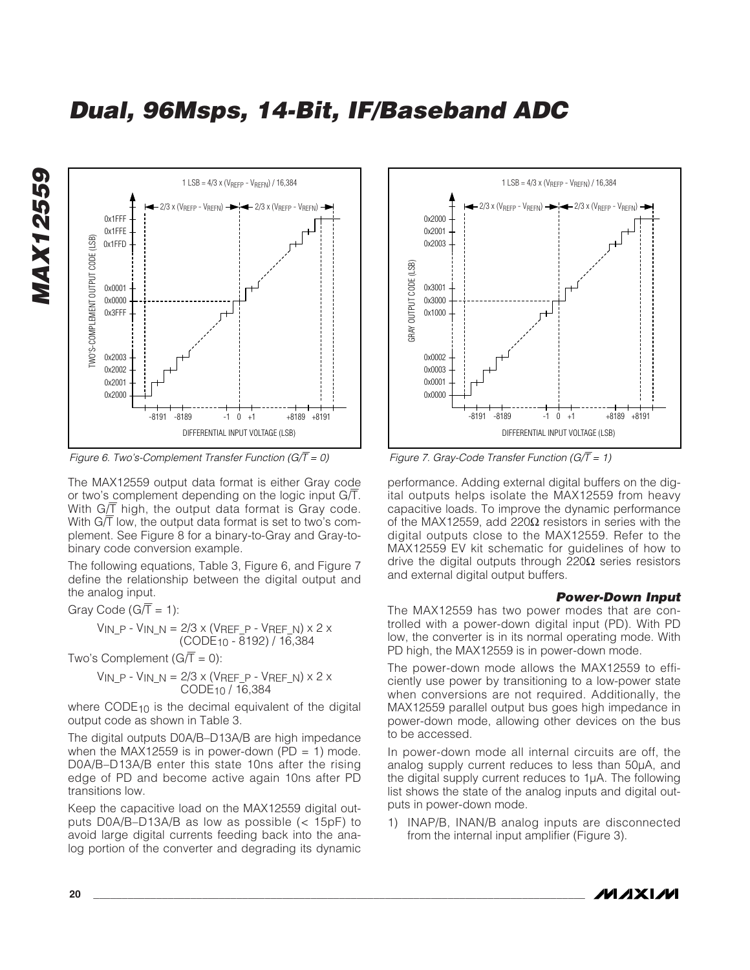

*Figure 6. Two's-Complement Transfer Function (G/*T *= 0)*

The MAX12559 output data format is either Gray code or two's complement depending on the logic input  $G/\overline{T}$ . With  $G/\overline{T}$  high, the output data format is Gray code. With  $G/\overline{T}$  low, the output data format is set to two's complement. See Figure 8 for a binary-to-Gray and Gray-tobinary code conversion example.

The following equations, Table 3, Figure 6, and Figure 7 define the relationship between the digital output and the analog input.

Gray Code ( $G/\overline{T} = 1$ ):

$$
V_{IN\_P} - V_{IN\_N} = 2/3 \times (V_{REF\_P} - V_{REF\_N}) \times 2 \times (CODE_{10} - 8192) / 16,384
$$

Two's Complement  $(G/\overline{T} = 0)$ :

$$
V_{IN\_P} - V_{IN\_N} = 2/3 \times (V_{REF\_P} - V_{REF\_N}) \times 2 \times \text{CODE}_{10} / 16,384
$$

where CODE<sub>10</sub> is the decimal equivalent of the digital output code as shown in Table 3.

The digital outputs D0A/B–D13A/B are high impedance when the MAX12559 is in power-down (PD = 1) mode. D0A/B–D13A/B enter this state 10ns after the rising edge of PD and become active again 10ns after PD transitions low.

Keep the capacitive load on the MAX12559 digital outputs D0A/B–D13A/B as low as possible (< 15pF) to avoid large digital currents feeding back into the analog portion of the converter and degrading its dynamic



*Figure 7. Gray-Code Transfer Function (G/*T *= 1)*

performance. Adding external digital buffers on the digital outputs helps isolate the MAX12559 from heavy capacitive loads. To improve the dynamic performance of the MAX12559, add 220Ω resistors in series with the digital outputs close to the MAX12559. Refer to the MAX12559 EV kit schematic for guidelines of how to drive the digital outputs through 220Ω series resistors and external digital output buffers.

#### *Power-Down Input*

The MAX12559 has two power modes that are controlled with a power-down digital input (PD). With PD low, the converter is in its normal operating mode. With PD high, the MAX12559 is in power-down mode.

The power-down mode allows the MAX12559 to efficiently use power by transitioning to a low-power state when conversions are not required. Additionally, the MAX12559 parallel output bus goes high impedance in power-down mode, allowing other devices on the bus to be accessed.

In power-down mode all internal circuits are off, the analog supply current reduces to less than 50µA, and the digital supply current reduces to 1µA. The following list shows the state of the analog inputs and digital outputs in power-down mode.

1) INAP/B, INAN/B analog inputs are disconnected from the internal input amplifier (Figure 3).

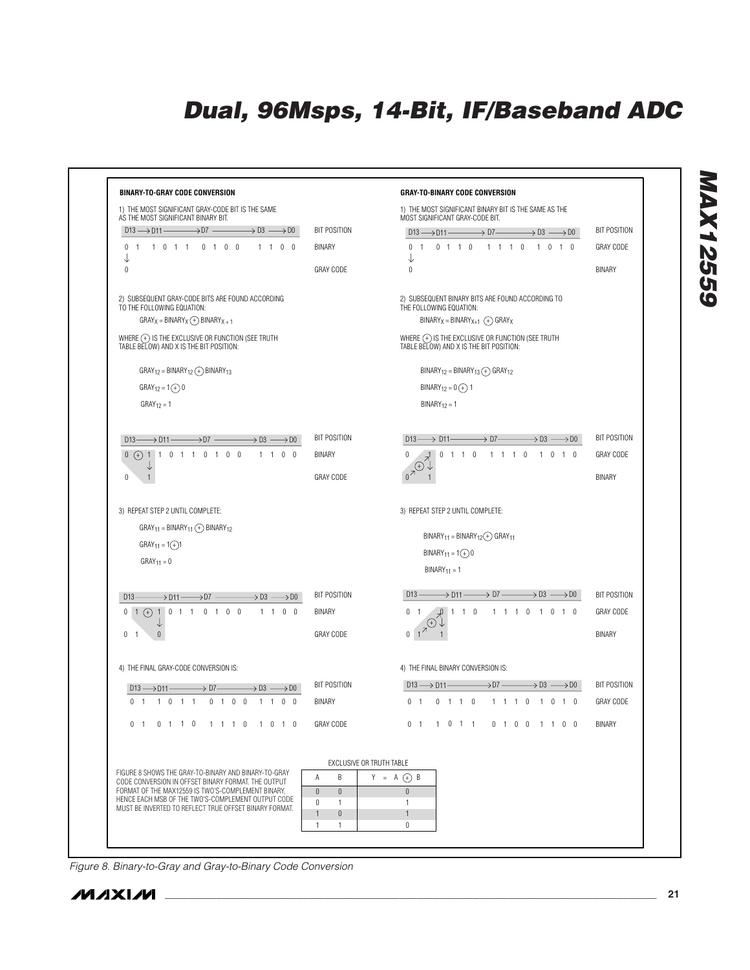

*Figure 8. Binary-to-Gray and Gray-to-Binary Code Conversion*

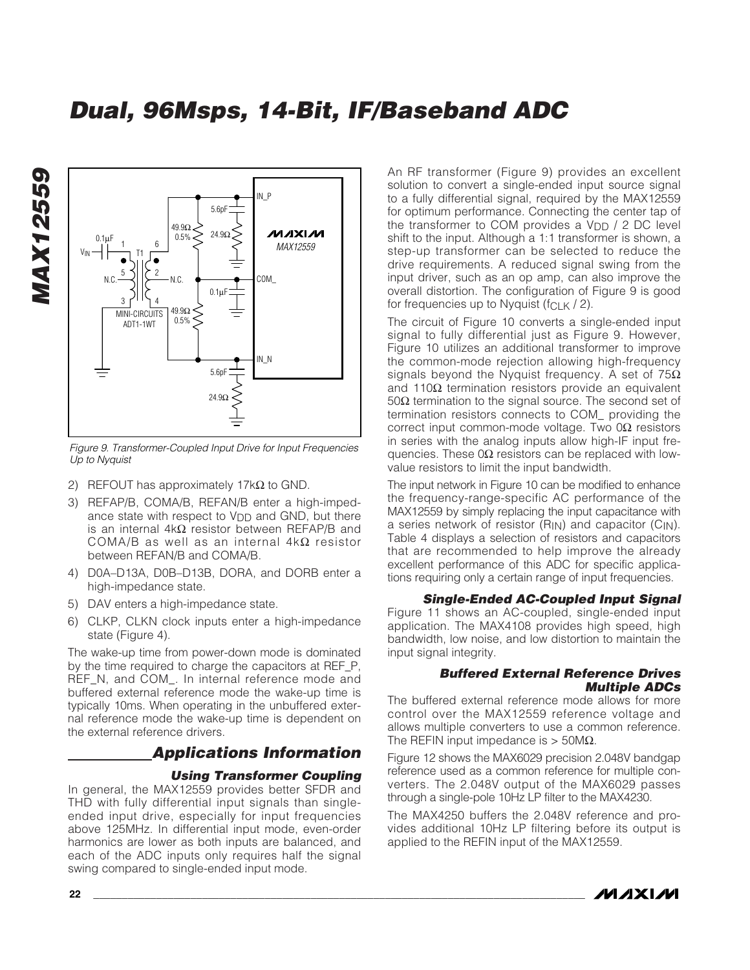

*Figure 9. Transformer-Coupled Input Drive for Input Frequencies Up to Nyquist*

- 2) REFOUT has approximately 17 $k\Omega$  to GND.
- 3) REFAP/B, COMA/B, REFAN/B enter a high-impedance state with respect to  $V_{DD}$  and GND, but there is an internal 4kΩ resistor between REFAP/B and COMA/B as well as an internal 4kΩ resistor between REFAN/B and COMA/B.
- 4) D0A–D13A, D0B–D13B, DORA, and DORB enter a high-impedance state.
- 5) DAV enters a high-impedance state.
- 6) CLKP, CLKN clock inputs enter a high-impedance state (Figure 4).

The wake-up time from power-down mode is dominated by the time required to charge the capacitors at REF\_P, REF\_N, and COM\_. In internal reference mode and buffered external reference mode the wake-up time is typically 10ms. When operating in the unbuffered external reference mode the wake-up time is dependent on the external reference drivers.

### *Applications Information*

#### *Using Transformer Coupling*

In general, the MAX12559 provides better SFDR and THD with fully differential input signals than singleended input drive, especially for input frequencies above 125MHz. In differential input mode, even-order harmonics are lower as both inputs are balanced, and each of the ADC inputs only requires half the signal swing compared to single-ended input mode.

An RF transformer (Figure 9) provides an excellent solution to convert a single-ended input source signal to a fully differential signal, required by the MAX12559 for optimum performance. Connecting the center tap of the transformer to COM provides a  $V_{DD}$  / 2 DC level shift to the input. Although a 1:1 transformer is shown, a step-up transformer can be selected to reduce the drive requirements. A reduced signal swing from the input driver, such as an op amp, can also improve the overall distortion. The configuration of Figure 9 is good for frequencies up to Nyquist ( $fCLK / 2$ ).

The circuit of Figure 10 converts a single-ended input signal to fully differential just as Figure 9. However, Figure 10 utilizes an additional transformer to improve the common-mode rejection allowing high-frequency signals beyond the Nyquist frequency. A set of  $75\Omega$ and 110Ω termination resistors provide an equivalent 50 $Ω$  termination to the signal source. The second set of termination resistors connects to COM\_ providing the correct input common-mode voltage. Two 0Ω resistors in series with the analog inputs allow high-IF input frequencies. These  $0\Omega$  resistors can be replaced with lowvalue resistors to limit the input bandwidth.

The input network in Figure 10 can be modified to enhance the frequency-range-specific AC performance of the MAX12559 by simply replacing the input capacitance with a series network of resistor (R<sub>IN</sub>) and capacitor (C<sub>IN</sub>). Table 4 displays a selection of resistors and capacitors that are recommended to help improve the already excellent performance of this ADC for specific applications requiring only a certain range of input frequencies.

#### *Single-Ended AC-Coupled Input Signal*

Figure 11 shows an AC-coupled, single-ended input application. The MAX4108 provides high speed, high bandwidth, low noise, and low distortion to maintain the input signal integrity.

#### *Buffered External Reference Drives Multiple ADCs*

The buffered external reference mode allows for more control over the MAX12559 reference voltage and allows multiple converters to use a common reference. The REFIN input impedance is  $> 50M\Omega$ .

Figure 12 shows the MAX6029 precision 2.048V bandgap reference used as a common reference for multiple converters. The 2.048V output of the MAX6029 passes through a single-pole 10Hz LP filter to the MAX4230.

The MAX4250 buffers the 2.048V reference and provides additional 10Hz LP filtering before its output is applied to the REFIN input of the MAX12559.



*MAX12559*

**MAX12559**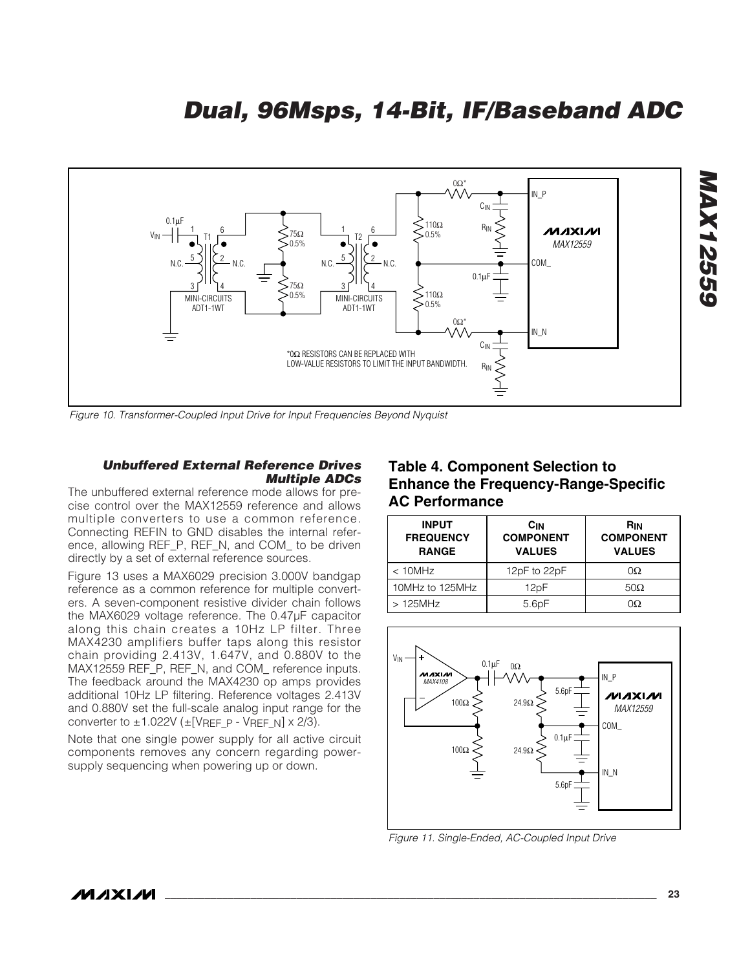

*Figure 10. Transformer-Coupled Input Drive for Input Frequencies Beyond Nyquist*

#### *Unbuffered External Reference Drives Multiple ADCs*

The unbuffered external reference mode allows for precise control over the MAX12559 reference and allows multiple converters to use a common reference. Connecting REFIN to GND disables the internal reference, allowing REF\_P, REF\_N, and COM\_ to be driven directly by a set of external reference sources.

Figure 13 uses a MAX6029 precision 3.000V bandgap reference as a common reference for multiple converters. A seven-component resistive divider chain follows the MAX6029 voltage reference. The 0.47µF capacitor along this chain creates a 10Hz LP filter. Three MAX4230 amplifiers buffer taps along this resistor chain providing 2.413V, 1.647V, and 0.880V to the MAX12559 REF\_P, REF\_N, and COM\_ reference inputs. The feedback around the MAX4230 op amps provides additional 10Hz LP filtering. Reference voltages 2.413V and 0.880V set the full-scale analog input range for the converter to  $\pm$ 1.022V ( $\pm$ [VREF\_P - VREF\_N] x 2/3).

Note that one single power supply for all active circuit components removes any concern regarding powersupply sequencing when powering up or down.

### **Table 4. Component Selection to Enhance the Frequency-Range-Specific AC Performance**

| <b>INPUT</b><br><b>FREQUENCY</b><br><b>RANGE</b> | C <sub>IN</sub><br><b>COMPONENT</b><br><b>VALUES</b> | R <sub>IN</sub><br><b>COMPONENT</b><br><b>VALUES</b> |  |  |  |  |
|--------------------------------------------------|------------------------------------------------------|------------------------------------------------------|--|--|--|--|
| $< 10$ MHz                                       | 12pF to 22pF                                         | OΩ                                                   |  |  |  |  |
| 10MHz to 125MHz                                  | 12pF                                                 | 50 $\Omega$                                          |  |  |  |  |
| $>125$ MHz                                       | 5.6 <sub>D</sub> F                                   | Ю                                                    |  |  |  |  |



*Figure 11. Single-Ended, AC-Coupled Input Drive*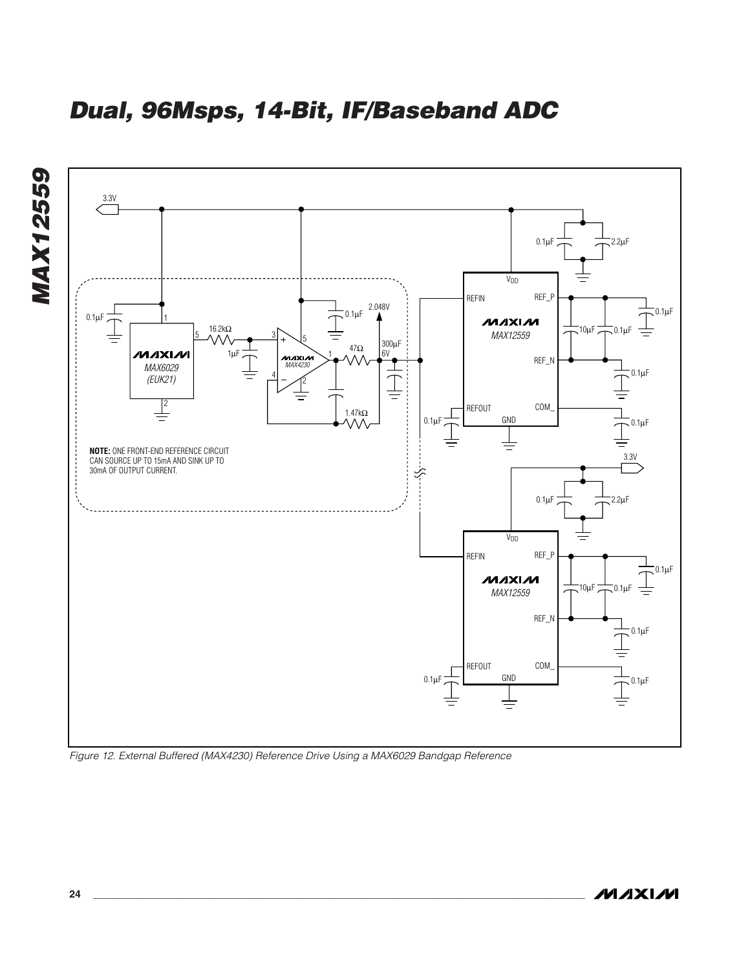



*Figure 12. External Buffered (MAX4230) Reference Drive Using a MAX6029 Bandgap Reference*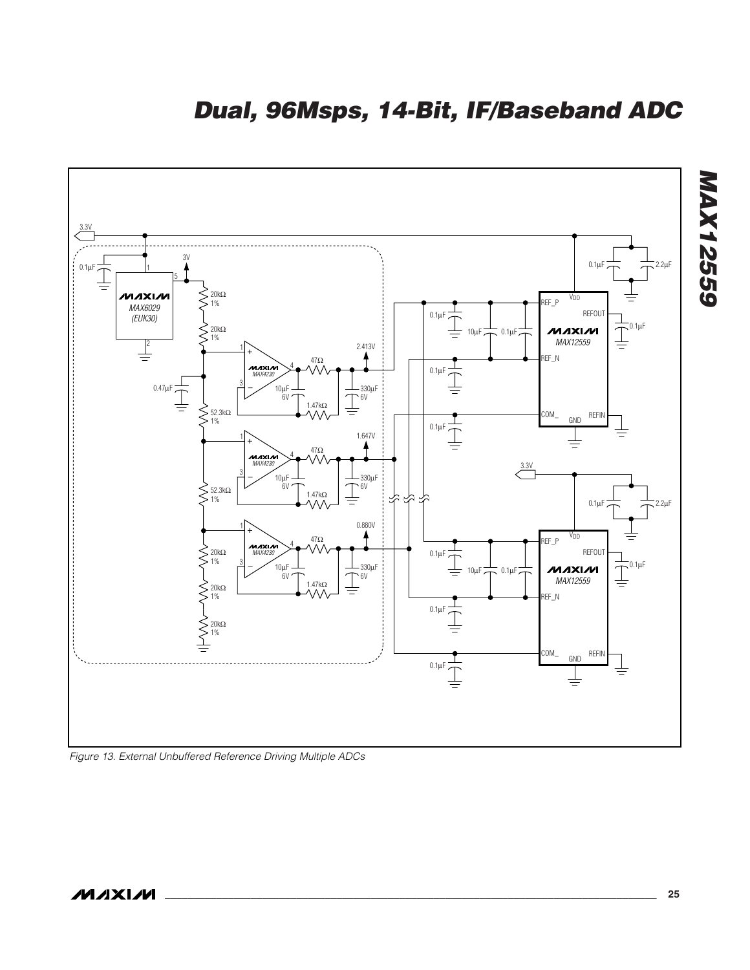

*Figure 13. External Unbuffered Reference Driving Multiple ADCs*

*MAX12559*

**MAX12559**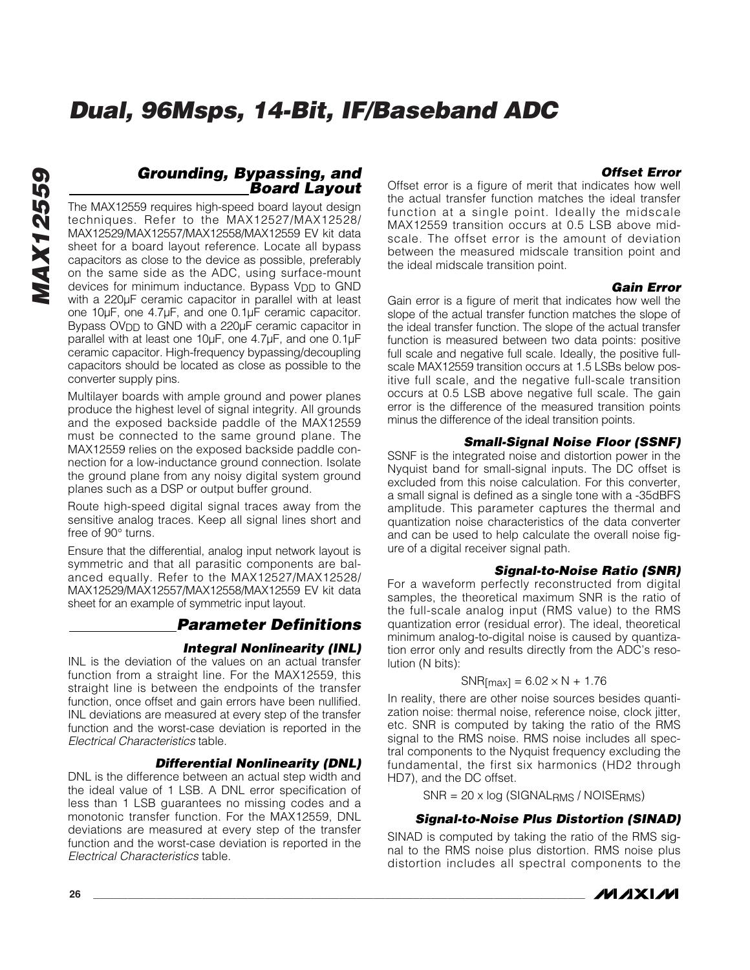#### *Offset Error*

#### *Grounding, Bypassing, and Board Layout*

The MAX12559 requires high-speed board layout design techniques. Refer to the MAX12527/MAX12528/ MAX12529/MAX12557/MAX12558/MAX12559 EV kit data sheet for a board layout reference. Locate all bypass capacitors as close to the device as possible, preferably on the same side as the ADC, using surface-mount devices for minimum inductance. Bypass V<sub>DD</sub> to GND with a 220µF ceramic capacitor in parallel with at least one 10µF, one 4.7µF, and one 0.1µF ceramic capacitor. Bypass OV<sub>DD</sub> to GND with a 220µF ceramic capacitor in parallel with at least one 10µF, one 4.7µF, and one 0.1µF ceramic capacitor. High-frequency bypassing/decoupling capacitors should be located as close as possible to the converter supply pins.

Multilayer boards with ample ground and power planes produce the highest level of signal integrity. All grounds and the exposed backside paddle of the MAX12559 must be connected to the same ground plane. The MAX12559 relies on the exposed backside paddle connection for a low-inductance ground connection. Isolate the ground plane from any noisy digital system ground planes such as a DSP or output buffer ground.

Route high-speed digital signal traces away from the sensitive analog traces. Keep all signal lines short and free of 90° turns.

Ensure that the differential, analog input network layout is symmetric and that all parasitic components are balanced equally. Refer to the MAX12527/MAX12528/ MAX12529/MAX12557/MAX12558/MAX12559 EV kit data sheet for an example of symmetric input layout.

### *Parameter Definitions*

#### *Integral Nonlinearity (INL)*

INL is the deviation of the values on an actual transfer function from a straight line. For the MAX12559, this straight line is between the endpoints of the transfer function, once offset and gain errors have been nullified. INL deviations are measured at every step of the transfer function and the worst-case deviation is reported in the *Electrical Characteristics* table.

#### *Differential Nonlinearity (DNL)*

DNL is the difference between an actual step width and the ideal value of 1 LSB. A DNL error specification of less than 1 LSB guarantees no missing codes and a monotonic transfer function. For the MAX12559, DNL deviations are measured at every step of the transfer function and the worst-case deviation is reported in the *Electrical Characteristics* table.

Offset error is a figure of merit that indicates how well the actual transfer function matches the ideal transfer function at a single point. Ideally the midscale MAX12559 transition occurs at 0.5 LSB above midscale. The offset error is the amount of deviation between the measured midscale transition point and the ideal midscale transition point.

#### *Gain Error*

Gain error is a figure of merit that indicates how well the slope of the actual transfer function matches the slope of the ideal transfer function. The slope of the actual transfer function is measured between two data points: positive full scale and negative full scale. Ideally, the positive fullscale MAX12559 transition occurs at 1.5 LSBs below positive full scale, and the negative full-scale transition occurs at 0.5 LSB above negative full scale. The gain error is the difference of the measured transition points minus the difference of the ideal transition points.

#### *Small-Signal Noise Floor (SSNF)*

SSNF is the integrated noise and distortion power in the Nyquist band for small-signal inputs. The DC offset is excluded from this noise calculation. For this converter, a small signal is defined as a single tone with a -35dBFS amplitude. This parameter captures the thermal and quantization noise characteristics of the data converter and can be used to help calculate the overall noise figure of a digital receiver signal path.

#### *Signal-to-Noise Ratio (SNR)*

For a waveform perfectly reconstructed from digital samples, the theoretical maximum SNR is the ratio of the full-scale analog input (RMS value) to the RMS quantization error (residual error). The ideal, theoretical minimum analog-to-digital noise is caused by quantization error only and results directly from the ADC's resolution (N bits):

#### $SNR$ [max] = 6.02  $\times$  N + 1.76

In reality, there are other noise sources besides quantization noise: thermal noise, reference noise, clock jitter, etc. SNR is computed by taking the ratio of the RMS signal to the RMS noise. RMS noise includes all spectral components to the Nyquist frequency excluding the fundamental, the first six harmonics (HD2 through HD7), and the DC offset.

SNR = 20 x log (SIGNALRMS / NOISERMS)

#### *Signal-to-Noise Plus Distortion (SINAD)*

SINAD is computed by taking the ratio of the RMS signal to the RMS noise plus distortion. RMS noise plus distortion includes all spectral components to the

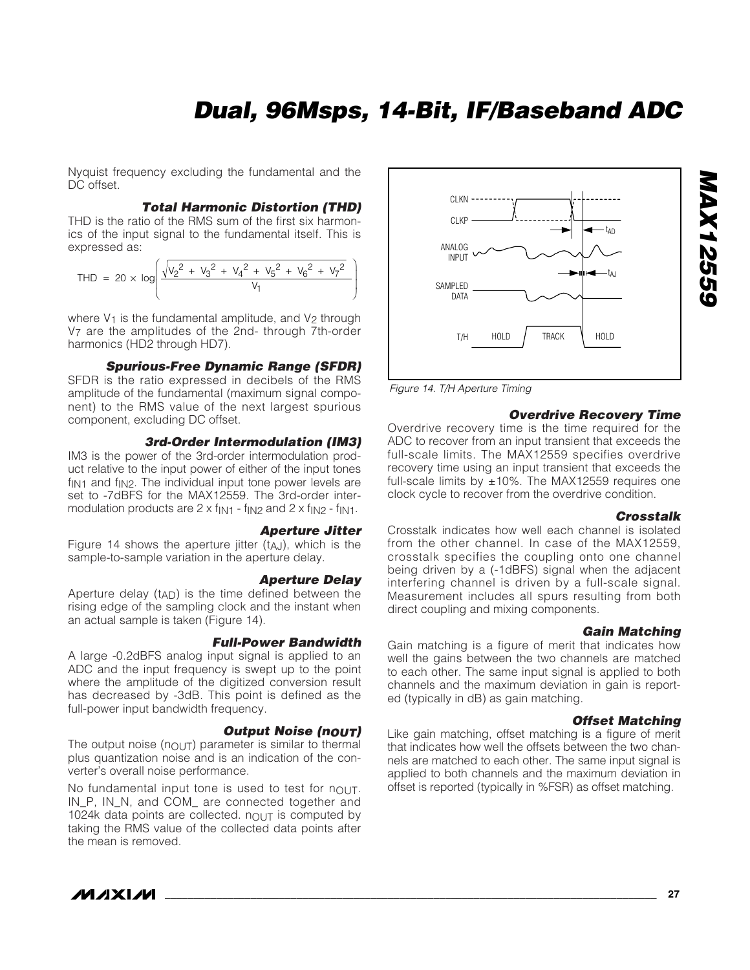Nyquist frequency excluding the fundamental and the DC offset.

#### *Total Harmonic Distortion (THD)*

THD is the ratio of the RMS sum of the first six harmonics of the input signal to the fundamental itself. This is expressed as:

$$
\text{THD} = 20 \times \log \left( \frac{\sqrt{v_2^2 + v_3^2 + v_4^2 + v_5^2 + v_6^2 + v_7^2}}{v_1} \right)
$$

where  $V_1$  is the fundamental amplitude, and  $V_2$  through V7 are the amplitudes of the 2nd- through 7th-order harmonics (HD2 through HD7).

#### *Spurious-Free Dynamic Range (SFDR)*

SFDR is the ratio expressed in decibels of the RMS amplitude of the fundamental (maximum signal component) to the RMS value of the next largest spurious component, excluding DC offset.

#### *3rd-Order Intermodulation (IM3)*

IM3 is the power of the 3rd-order intermodulation product relative to the input power of either of the input tones  $f_{IN1}$  and  $f_{IN2}$ . The individual input tone power levels are set to -7dBFS for the MAX12559. The 3rd-order intermodulation products are  $2 \times f_{\text{IN1}}$  -  $f_{\text{IN2}}$  and  $2 \times f_{\text{IN2}}$  -  $f_{\text{IN1}}$ .

#### *Aperture Jitter*

Figure 14 shows the aperture jitter  $(t_{A,J})$ , which is the sample-to-sample variation in the aperture delay.

#### *Aperture Delay*

Aperture delay  $(t_{AD})$  is the time defined between the rising edge of the sampling clock and the instant when an actual sample is taken (Figure 14).

#### *Full-Power Bandwidth*

A large -0.2dBFS analog input signal is applied to an ADC and the input frequency is swept up to the point where the amplitude of the digitized conversion result has decreased by -3dB. This point is defined as the full-power input bandwidth frequency.

#### **Output Noise (nout)**

The output noise ( $n_{\text{OUT}}$ ) parameter is similar to thermal plus quantization noise and is an indication of the converter's overall noise performance.

No fundamental input tone is used to test for nOUT. IN\_P, IN\_N, and COM\_ are connected together and 1024k data points are collected.  $n_{\text{OUT}}$  is computed by taking the RMS value of the collected data points after the mean is removed.



*Figure 14. T/H Aperture Timing*

#### *Overdrive Recovery Time*

Overdrive recovery time is the time required for the ADC to recover from an input transient that exceeds the full-scale limits. The MAX12559 specifies overdrive recovery time using an input transient that exceeds the full-scale limits by  $\pm 10\%$ . The MAX12559 requires one clock cycle to recover from the overdrive condition.

#### *Crosstalk*

*MAX12559*

**MAX12559** 

Crosstalk indicates how well each channel is isolated from the other channel. In case of the MAX12559, crosstalk specifies the coupling onto one channel being driven by a (-1dBFS) signal when the adjacent interfering channel is driven by a full-scale signal. Measurement includes all spurs resulting from both direct coupling and mixing components.

#### *Gain Matching*

Gain matching is a figure of merit that indicates how well the gains between the two channels are matched to each other. The same input signal is applied to both channels and the maximum deviation in gain is reported (typically in dB) as gain matching.

#### *Offset Matching*

Like gain matching, offset matching is a figure of merit that indicates how well the offsets between the two channels are matched to each other. The same input signal is applied to both channels and the maximum deviation in offset is reported (typically in %FSR) as offset matching.



/VI /I X I /VI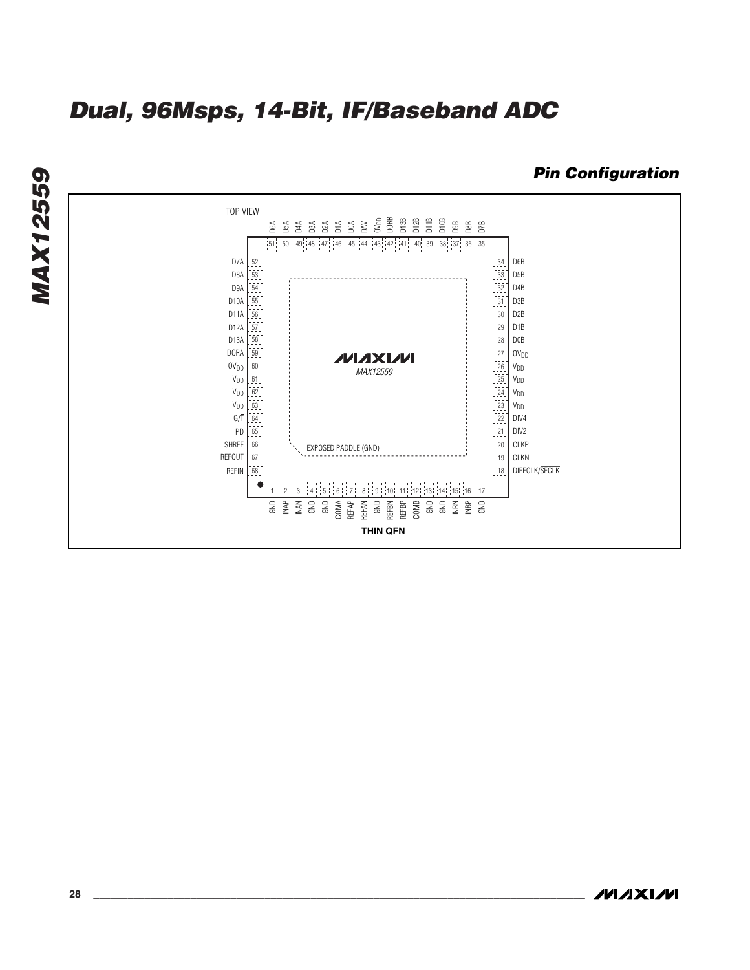**MAX12559** *MAX12559* TOP VIEW D2A D1A D0A DAV OVDD D6A D5A D4A D3A DORB D13B D12B D11B D10B D9B D8B D7B 51 : 50 : 49 : 48 : 47 : 46 : 45 : 44 : 43 : 42 : 41 : 140 : 39 : 38 : 37 : 36 : 35 D7A  $\frac{52}{3}$ 34 D6B D8A  $\frac{53}{3}$ 33 D5B D9A 54 32 D4B D10A  $\frac{55}{10}$  $\frac{1}{2}$   $\frac{31}{2}$  D3B D11A 56 D2B 30 57 D1B D12A 29 D13A 58 D0B 28 OVDD DORA 59 27 илхім  $OV<sub>DD</sub>$  $60\,$ VDD 26 *MAX12559* V<sub>DD</sub> VDD  $61$ 25 V<sub>DD</sub> V<sub>DD</sub> 62 24 VDD 23 VDD 63 22  $G/\overline{T}$ DIV4 64 21 DIV2 PD 65 [20] CLKP SHREF 66 EXPOSED PADDLE (GND) REFOUT  $67$ 19 CLKN REFIN  $68$  $\left[\begin{array}{c} 18 \\ 1 \end{array}\right]$ DIFFCLK/SECLK  $\bullet$  1771 1781 1781 1791 1701 171 172 173 1741 175 176 177 1781 1781 1791 1792 1703 1741 175 176 176 GND<br>INAN INAN GO COMA<br>GND GO COMA<br>REFAP REFBN REFBP GND GND GND INBN INBP COMB GND **THIN QFN**

*Pin Configuration*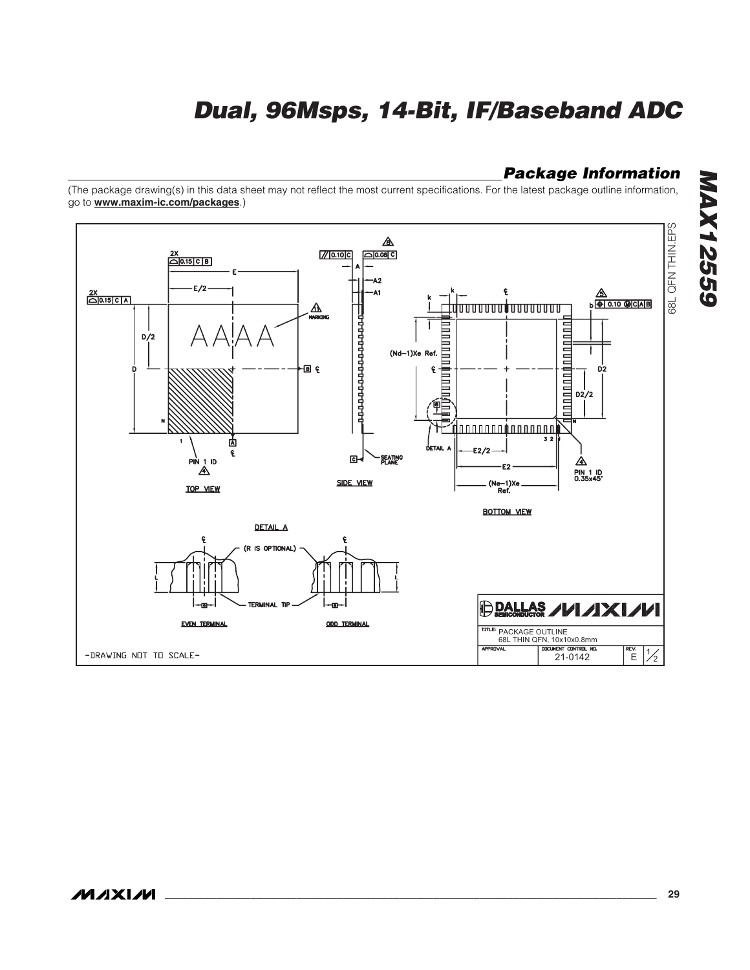### *Package Information*

(The package drawing(s) in this data sheet may not reflect the most current specifications. For the latest package outline information, go to **www.maxim-ic.com/packages**.)



*MAX12559* **MAX12559**